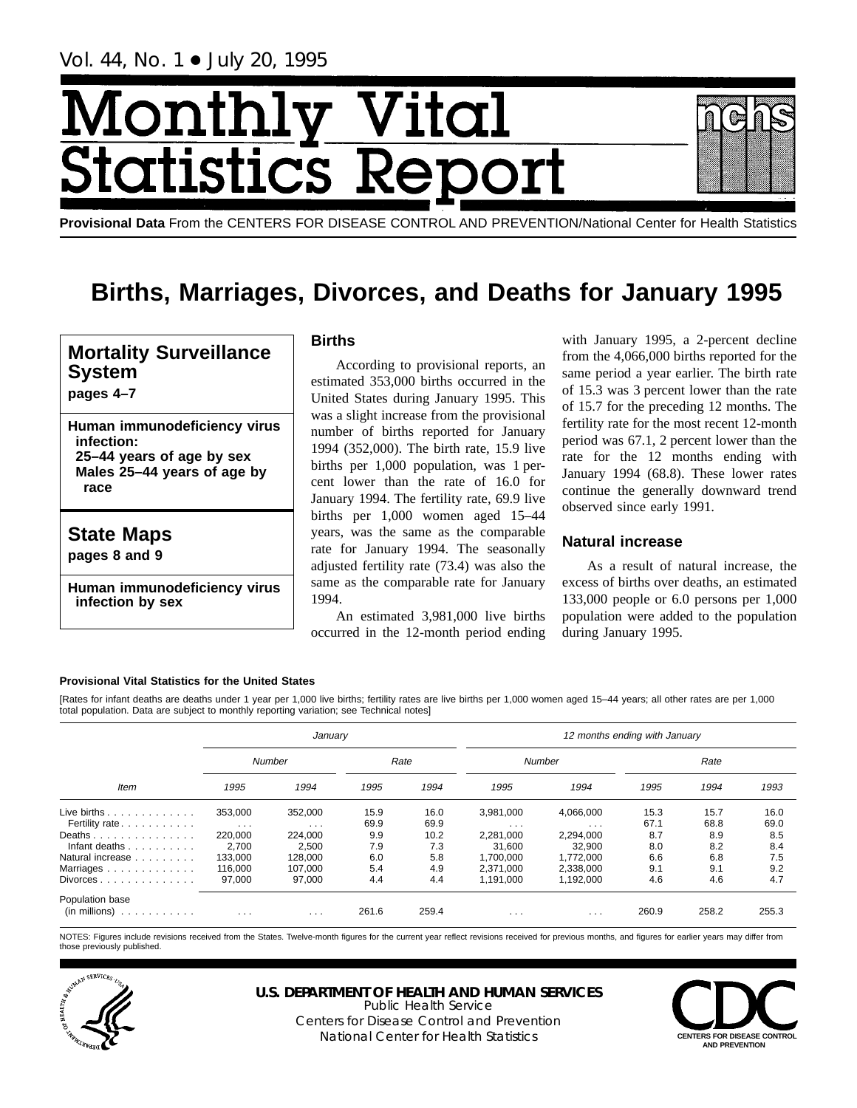Vol. 44, No. 1 + July 20, 1995

# hly Vital<br>tics Repo Month **Statist**

**Provisional Data** From the CENTERS FOR DISEASE CONTROL AND PREVENTION/National Center for Health Statistics

## **Births, Marriages, Divorces, and Deaths for January 1995**

## **Mortality Surveillance System**

**pages 4–7**

**Human immunodeficiency virus infection: 25–44 years of age by sex Males 25–44 years of age by race**

## **State Maps**

**pages 8 and 9**

**Human immunodeficiency virus infection by sex**

## **Births**

According to provisional reports, an estimated 353,000 births occurred in the United States during January 1995. This was a slight increase from the provisional number of births reported for January 1994 (352,000). The birth rate, 15.9 live births per 1,000 population, was 1 percent lower than the rate of 16.0 for January 1994. The fertility rate, 69.9 live births per 1,000 women aged 15–44 years, was the same as the comparable rate for January 1994. The seasonally adjusted fertility rate (73.4) was also the same as the comparable rate for January 1994.

An estimated 3,981,000 live births occurred in the 12-month period ending

with January 1995, a 2-percent decline from the 4,066,000 births reported for the same period a year earlier. The birth rate of 15.3 was 3 percent lower than the rate of 15.7 for the preceding 12 months. The fertility rate for the most recent 12-month period was 67.1, 2 percent lower than the rate for the 12 months ending with January 1994 (68.8). These lower rates continue the generally downward trend observed since early 1991.

## **Natural increase**

As a result of natural increase, the excess of births over deaths, an estimated 133,000 people or 6.0 persons per 1,000 population were added to the population during January 1995.

## **Provisional Vital Statistics for the United States**

[Rates for infant deaths are deaths under 1 year per 1,000 live births; fertility rates are live births per 1,000 women aged 15–44 years; all other rates are per 1,000 total population. Data are subject to monthly reporting variation; see Technical notes]

|                                                                    |          | January                 |       |       | 12 months ending with January |                         |       |       |       |
|--------------------------------------------------------------------|----------|-------------------------|-------|-------|-------------------------------|-------------------------|-------|-------|-------|
|                                                                    |          | Number                  |       | Rate  |                               | <b>Number</b>           |       | Rate  |       |
| <b>Item</b>                                                        | 1995     | 1994                    | 1995  | 1994  | 1995                          | 1994                    | 1995  | 1994  | 1993  |
| Live births $\ldots$                                               | 353.000  | 352.000                 | 15.9  | 16.0  | 3.981.000                     | 4.066.000               | 15.3  | 15.7  | 16.0  |
| Fertility rate                                                     | $\cdots$ | $\cdot$ $\cdot$ $\cdot$ | 69.9  | 69.9  | $\cdots$                      | $\cdot$ $\cdot$ $\cdot$ | 67.1  | 68.8  | 69.0  |
| Deaths                                                             | 220,000  | 224,000                 | 9.9   | 10.2  | 2.281.000                     | 2,294,000               | 8.7   | 8.9   | 8.5   |
| Infant deaths                                                      | 2.700    | 2,500                   | 7.9   | 7.3   | 31.600                        | 32.900                  | 8.0   | 8.2   | 8.4   |
| Natural increase                                                   | 133.000  | 128.000                 | 6.0   | 5.8   | 1.700.000                     | 1.772.000               | 6.6   | 6.8   | 7.5   |
| Marriages                                                          | 116.000  | 107,000                 | 5.4   | 4.9   | 2.371.000                     | 2,338,000               | 9.1   | 9.1   | 9.2   |
| $Divorces \dots \dots \dots \dots$                                 | 97.000   | 97,000                  | 4.4   | 4.4   | 1.191.000                     | 1.192.000               | 4.6   | 4.6   | 4.7   |
| Population base<br>$(in \text{ millions}) \dots \dots \dots \dots$ | $\cdots$ | $\cdots$                | 261.6 | 259.4 | $\cdots$                      | $\cdots$                | 260.9 | 258.2 | 255.3 |

NOTES: Figures include revisions received from the States. Twelve-month figures for the current year reflect revisions received for previous months, and figures for earlier years may differ from those previously published.



**U.S. DEPARTMENT OF HEALTH AND HUMAN SERVICES**

Public Health Service Centers for Disease Control and Prevention National Center for Health Statistics **CENTERS FOR DISEASE CONTROL** 

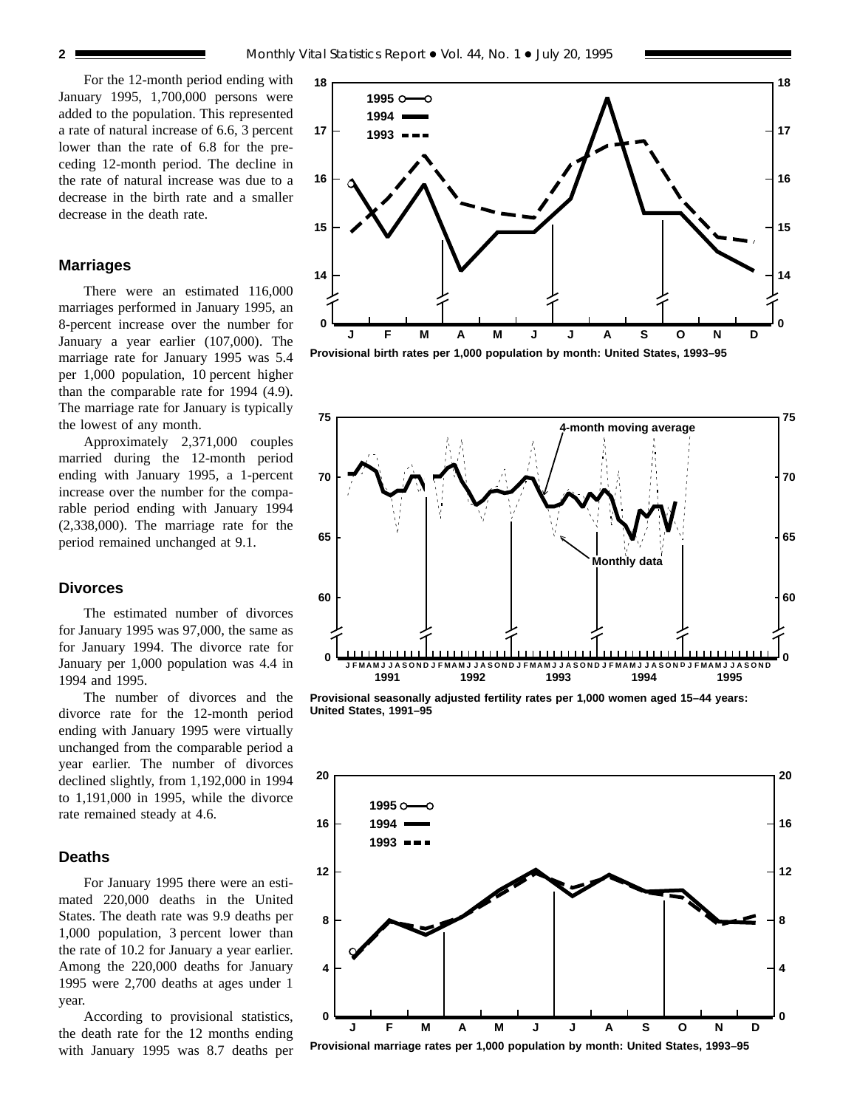For the 12-month period ending with January 1995, 1,700,000 persons were added to the population. This represented a rate of natural increase of 6.6, 3 percent lower than the rate of 6.8 for the preceding 12-month period. The decline in the rate of natural increase was due to a decrease in the birth rate and a smaller decrease in the death rate.

#### **Marriages**

There were an estimated 116,000 marriages performed in January 1995, an 8-percent increase over the number for January a year earlier (107,000). The marriage rate for January 1995 was 5.4 per 1,000 population, 10 percent higher than the comparable rate for 1994 (4.9). The marriage rate for January is typically the lowest of any month.

Approximately 2,371,000 couples married during the 12-month period ending with January 1995, a 1-percent increase over the number for the comparable period ending with January 1994 (2,338,000). The marriage rate for the period remained unchanged at 9.1.

## **Divorces**

The estimated number of divorces for January 1995 was 97,000, the same as for January 1994. The divorce rate for January per 1,000 population was 4.4 in 1994 and 1995.

The number of divorces and the divorce rate for the 12-month period ending with January 1995 were virtually unchanged from the comparable period a year earlier. The number of divorces declined slightly, from 1,192,000 in 1994 to 1,191,000 in 1995, while the divorce rate remained steady at 4.6.

## **Deaths**

For January 1995 there were an estimated 220,000 deaths in the United States. The death rate was 9.9 deaths per 1,000 population, 3 percent lower than the rate of 10.2 for January a year earlier. Among the 220,000 deaths for January 1995 were 2,700 deaths at ages under 1 year.

According to provisional statistics, the death rate for the 12 months ending with January 1995 was 8.7 deaths per







**Provisional seasonally adjusted fertility rates per 1,000 women aged 15–44 years: United States, 1991–95**



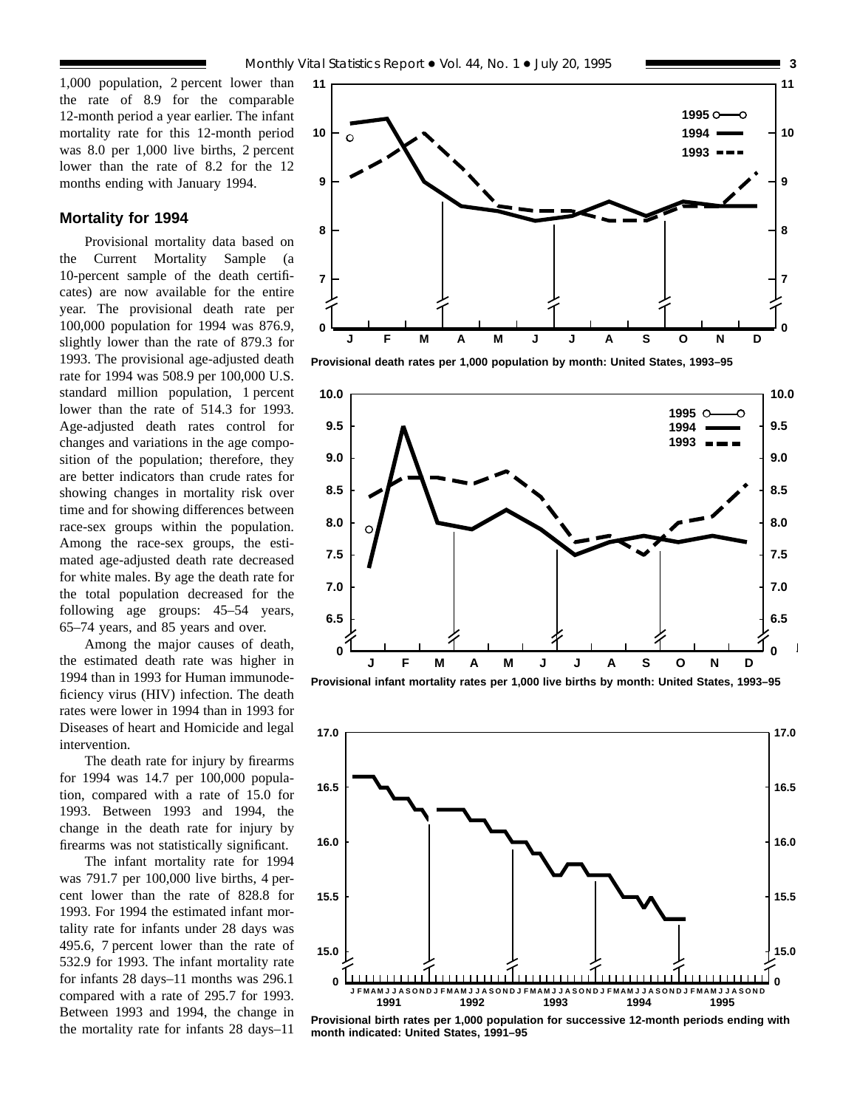## **Mortality for 1994**

Provisional mortality data based on the Current Mortality Sample (a 10-percent sample of the death certificates) are now available for the entire year. The provisional death rate per 100,000 population for 1994 was 876.9, slightly lower than the rate of 879.3 for 1993. The provisional age-adjusted death rate for 1994 was 508.9 per 100,000 U.S. standard million population, 1 percent lower than the rate of 514.3 for 1993. Age-adjusted death rates control for changes and variations in the age composition of the population; therefore, they are better indicators than crude rates for showing changes in mortality risk over time and for showing differences between race-sex groups within the population. Among the race-sex groups, the estimated age-adjusted death rate decreased for white males. By age the death rate for the total population decreased for the following age groups: 45–54 years, 65–74 years, and 85 years and over.

Among the major causes of death, the estimated death rate was higher in 1994 than in 1993 for Human immunodeficiency virus (HIV) infection. The death rates were lower in 1994 than in 1993 for Diseases of heart and Homicide and legal intervention.

The death rate for injury by firearms for 1994 was 14.7 per 100,000 population, compared with a rate of 15.0 for 1993. Between 1993 and 1994, the change in the death rate for injury by firearms was not statistically significant.

The infant mortality rate for 1994 was 791.7 per 100,000 live births, 4 percent lower than the rate of 828.8 for 1993. For 1994 the estimated infant mortality rate for infants under 28 days was 495.6, 7 percent lower than the rate of 532.9 for 1993. The infant mortality rate for infants 28 days–11 months was 296.1 compared with a rate of 295.7 for 1993. Between 1993 and 1994, the change in the mortality rate for infants 28 days–11



**Provisional death rates per 1,000 population by month: United States, 1993–95**



**Provisional infant mortality rates per 1,000 live births by month: United States, 1993–95**



**Provisional birth rates per 1,000 population for successive 12-month periods ending with month indicated: United States, 1991–95**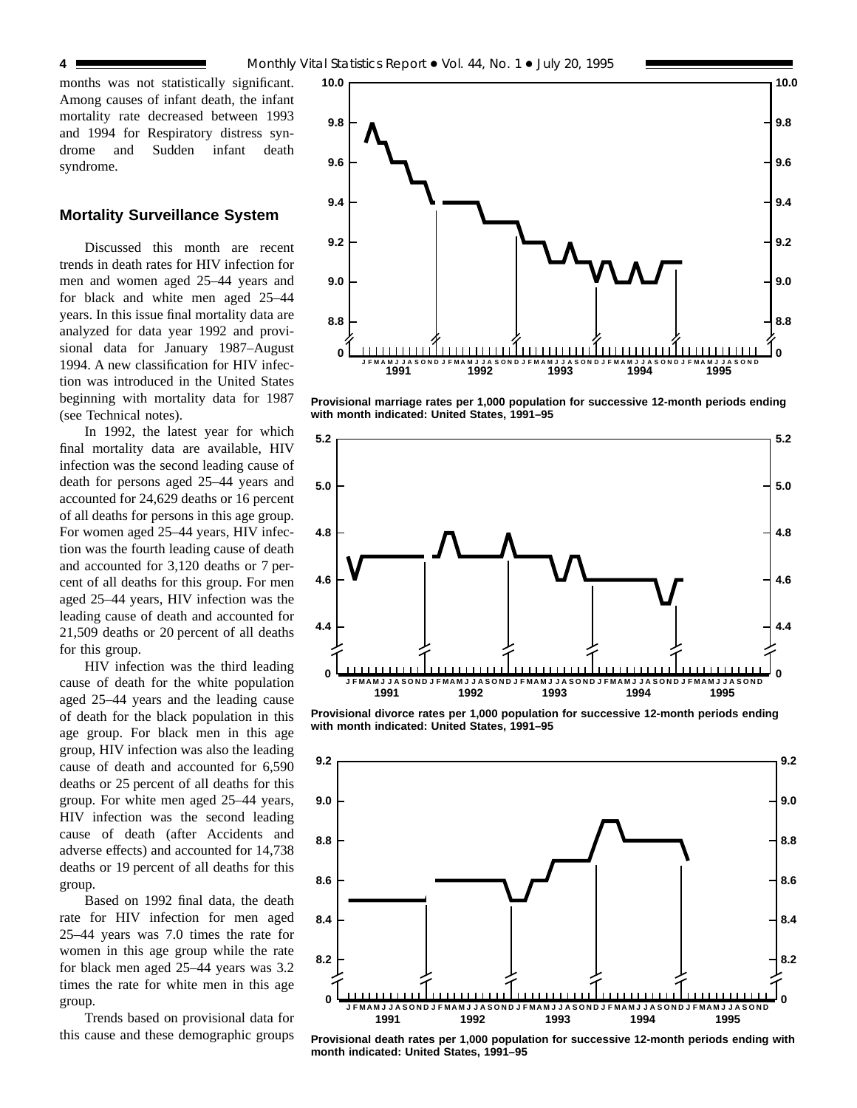months was not statistically significant. Among causes of infant death, the infant mortality rate decreased between 1993 and 1994 for Respiratory distress syndrome and Sudden infant death syndrome.

## **Mortality Surveillance System**

Discussed this month are recent trends in death rates for HIV infection for men and women aged 25–44 years and for black and white men aged 25–44 years. In this issue final mortality data are analyzed for data year 1992 and provisional data for January 1987–August 1994. A new classification for HIV infection was introduced in the United States beginning with mortality data for 1987 (see Technical notes).

In 1992, the latest year for which final mortality data are available, HIV infection was the second leading cause of death for persons aged 25–44 years and accounted for 24,629 deaths or 16 percent of all deaths for persons in this age group. For women aged 25–44 years, HIV infection was the fourth leading cause of death and accounted for 3,120 deaths or 7 percent of all deaths for this group. For men aged 25–44 years, HIV infection was the leading cause of death and accounted for 21,509 deaths or 20 percent of all deaths for this group.

HIV infection was the third leading cause of death for the white population aged 25–44 years and the leading cause of death for the black population in this age group. For black men in this age group, HIV infection was also the leading cause of death and accounted for 6,590 deaths or 25 percent of all deaths for this group. For white men aged 25–44 years, HIV infection was the second leading cause of death (after Accidents and adverse effects) and accounted for 14,738 deaths or 19 percent of all deaths for this group.

Based on 1992 final data, the death rate for HIV infection for men aged 25–44 years was 7.0 times the rate for women in this age group while the rate for black men aged 25–44 years was 3.2 times the rate for white men in this age group.

Trends based on provisional data for this cause and these demographic groups



**Provisional marriage rates per 1,000 population for successive 12-month periods ending with month indicated: United States, 1991–95**



**Provisional divorce rates per 1,000 population for successive 12-month periods ending with month indicated: United States, 1991–95**



**Provisional death rates per 1,000 population for successive 12-month periods ending with month indicated: United States, 1991–95**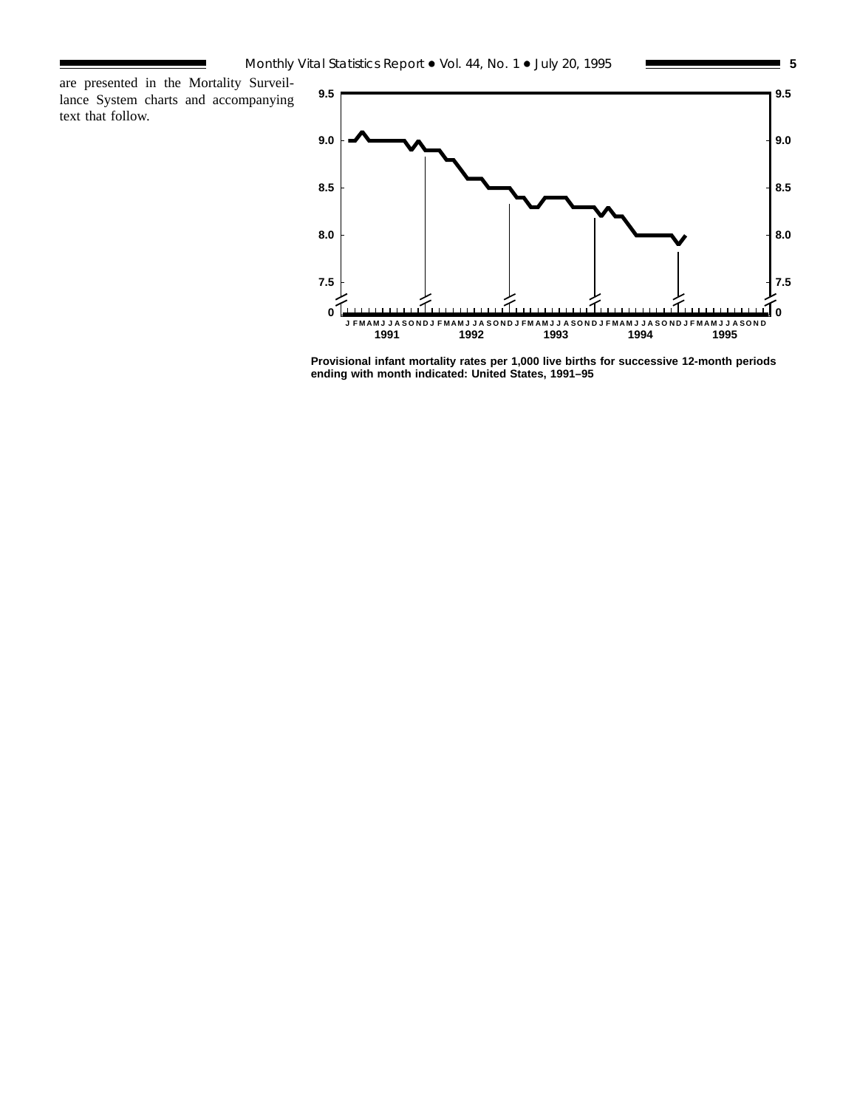are presented in the Mortality Surveillance System charts and accompanying text that follow.



**Provisional infant mortality rates per 1,000 live births for successive 12-month periods ending with month indicated: United States, 1991–95**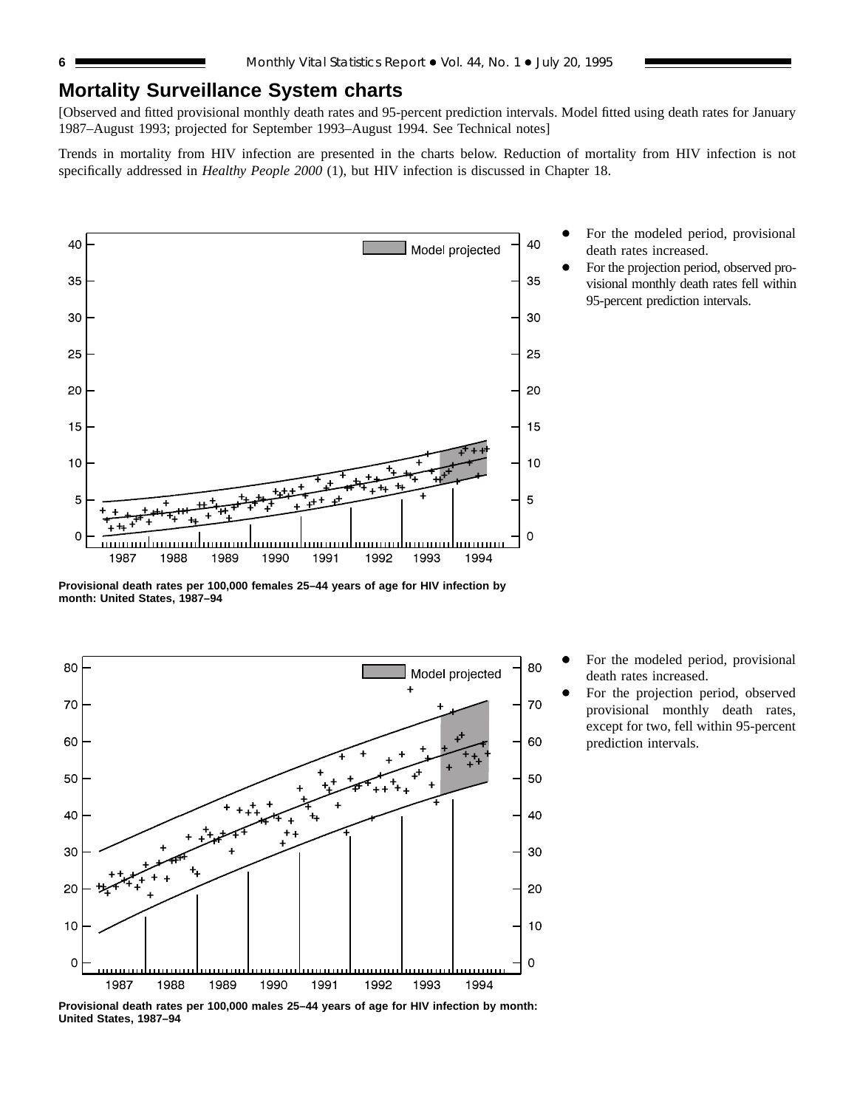## **Mortality Surveillance System charts**

[Observed and fitted provisional monthly death rates and 95-percent prediction intervals. Model fitted using death rates for January 1987–August 1993; projected for September 1993–August 1994. See Technical notes]

Trends in mortality from HIV infection are presented in the charts below. Reduction of mortality from HIV infection is not specifically addressed in *Healthy People 2000* (1), but HIV infection is discussed in Chapter 18.



For the modeled period, provisional death rates increased.

For the projection period, observed provisional monthly death rates fell within 95-percent prediction intervals.

**Provisional death rates per 100,000 females 25–44 years of age for HIV infection by month: United States, 1987–94**



For the modeled period, provisional death rates increased.

For the projection period, observed provisional monthly death rates, except for two, fell within 95-percent prediction intervals.

**Provisional death rates per 100,000 males 25–44 years of age for HIV infection by month: United States, 1987–94**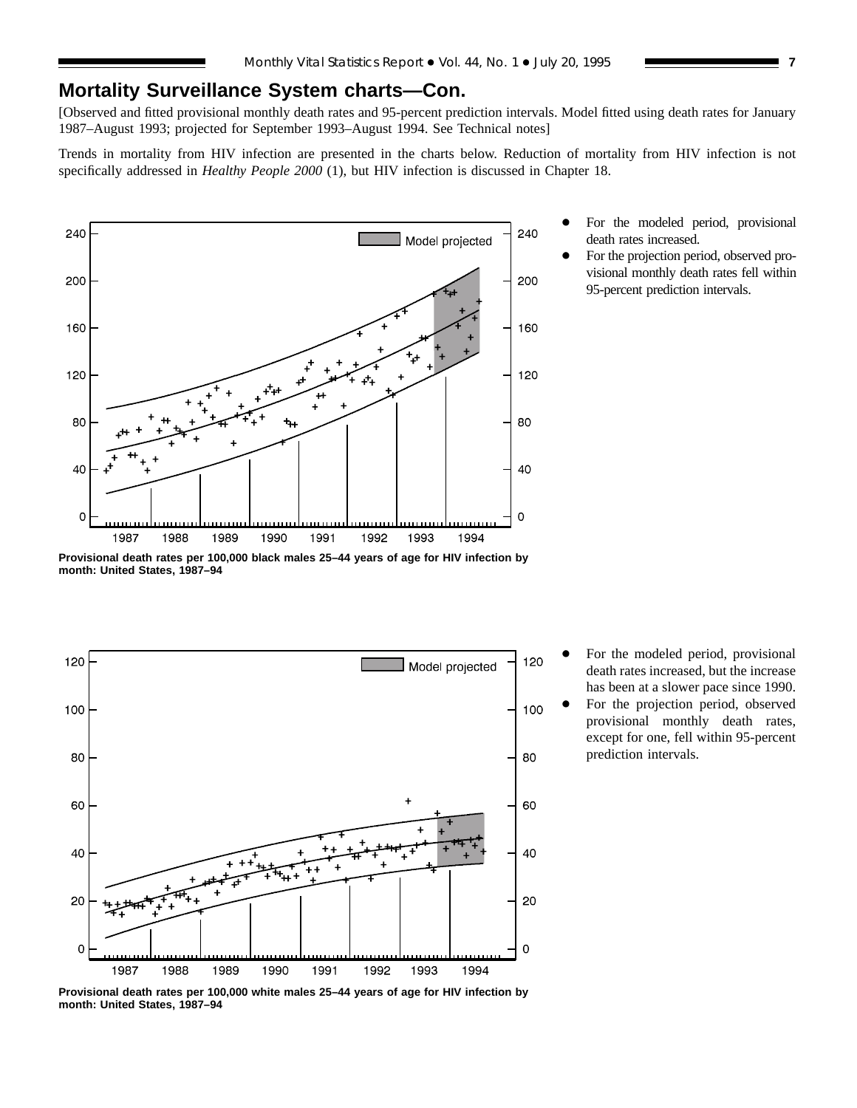## **Mortality Surveillance System charts—Con.**

[Observed and fitted provisional monthly death rates and 95-percent prediction intervals. Model fitted using death rates for January 1987–August 1993; projected for September 1993–August 1994. See Technical notes]

Trends in mortality from HIV infection are presented in the charts below. Reduction of mortality from HIV infection is not specifically addressed in *Healthy People 2000* (1), but HIV infection is discussed in Chapter 18.



death rates increased. For the projection period, observed pro-

For the modeled period, provisional

visional monthly death rates fell within 95-percent prediction intervals.

**Provisional death rates per 100,000 black males 25–44 years of age for HIV infection by month: United States, 1987–94**



For the modeled period, provisional death rates increased, but the increase has been at a slower pace since 1990.

For the projection period, observed provisional monthly death rates, except for one, fell within 95-percent prediction intervals.

**Provisional death rates per 100,000 white males 25–44 years of age for HIV infection by month: United States, 1987–94**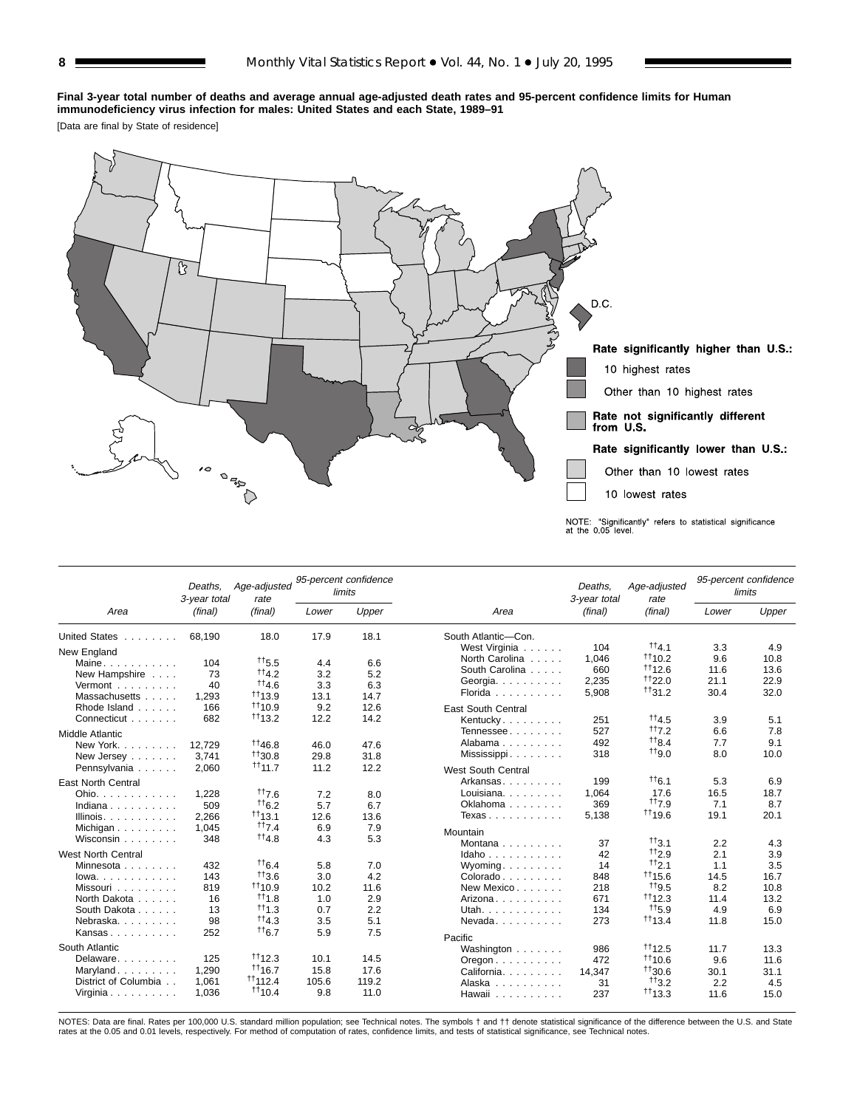#### **Final 3-year total number of deaths and average annual age-adjusted death rates and 95-percent confidence limits for Human immunodeficiency virus infection for males: United States and each State, 1989–91**

[Data are final by State of residence]



|                           | Deaths.<br>3-year total | Age-adjusted<br>rate  |              | 95-percent confidence<br>limits |                                          | Deaths.<br>3-year total | Age-adjusted<br>rate |       | 95-percent confidence<br>limits |  |
|---------------------------|-------------------------|-----------------------|--------------|---------------------------------|------------------------------------------|-------------------------|----------------------|-------|---------------------------------|--|
| Area                      | (final)                 | (final)               | Lower        | Upper                           | Area                                     | (final)                 | (final)              | Lower | Upper                           |  |
| United States             | 68.190                  | 18.0                  | 17.9         | 18.1                            | South Atlantic-Con.                      |                         |                      |       |                                 |  |
| New England               |                         |                       |              |                                 | West Virginia                            | 104                     | $^{11}4.1$           | 3.3   | 4.9                             |  |
| Maine                     | 104                     | $^{+15.5}$            | 4.4          | 6.6                             | North Carolina                           | 1.046                   | 1110.2               | 9.6   | 10.8                            |  |
| New Hampshire             | 73                      | tt4.2                 | 3.2          | 5.2                             | South Carolina                           | 660                     | 1112.6               | 11.6  | 13.6                            |  |
| Vermont                   | 40                      | tt4.6                 | 3.3          | 6.3                             | Georgia.                                 | 2,235                   | 1122.0               | 21.1  | 22.9                            |  |
| Massachusetts             | 1.293                   | $+113.9$              | 13.1         | 14.7                            | Florida                                  | 5,908                   | $+131.2$             | 30.4  | 32.0                            |  |
| Rhode Island              | 166                     | 1110.9                | 9.2          | 12.6                            | <b>East South Central</b>                |                         |                      |       |                                 |  |
| Connecticut               | 682                     | $+113.2$              | 12.2         | 14.2                            | Kentucky.                                | 251                     | $^{11}4.5$           | 3.9   | 5.1                             |  |
|                           |                         |                       |              |                                 | Tennessee                                | 527                     | 117.2                | 6.6   | 7.8                             |  |
| <b>Middle Atlantic</b>    |                         | 1146.8                |              |                                 | Alabama                                  | 492                     | $^{++8.4}$           | 7.7   | 9.1                             |  |
| New York.                 | 12.729                  | $+130.8$              | 46.0         | 47.6                            | Mississippi                              | 318                     | <sup>++</sup> 9.0    | 8.0   | 10.0                            |  |
| New Jersey                | 3.741                   | $+111.7$              | 29.8<br>11.2 | 31.8<br>12.2                    |                                          |                         |                      |       |                                 |  |
| Pennsylvania              | 2,060                   |                       |              |                                 | West South Central                       |                         |                      |       |                                 |  |
| <b>East North Central</b> |                         |                       |              |                                 | Arkansas                                 | 199                     | $^{11}6.1$           | 5.3   | 6.9                             |  |
| Ohio.                     | 1,228                   | 117.6                 | 7.2          | 8.0                             | Louisiana.                               | 1,064                   | 17.6                 | 16.5  | 18.7                            |  |
| Indiana                   | 509                     | $+6.2$                | 5.7          | 6.7                             | Oklahoma                                 | 369                     | tt7.9                | 7.1   | 8.7                             |  |
| Illinois. $\ldots$ .      | 2.266                   | $+113.1$              | 12.6         | 13.6                            | Texas                                    | 5,138                   | 1119.6               | 19.1  | 20.1                            |  |
| Michigan                  | 1.045                   | tt7.4                 | 6.9          | 7.9                             | Mountain                                 |                         |                      |       |                                 |  |
| Wisconsin                 | 348                     | $^{11}4.8$            | 4.3          | 5.3                             | Montana                                  | 37                      | $+13.1$              | 2.2   | 4.3                             |  |
| <b>West North Central</b> |                         |                       |              |                                 | Idaho                                    | 42                      | $H_{2.9}$            | 2.1   | 3.9                             |  |
| Minnesota                 | 432                     | $+6.4$                | 5.8          | 7.0                             | $W$ yoming                               | 14                      | tt2.1                | 1.1   | 3.5                             |  |
| $lowa.$                   | 143                     | 113.6                 | 3.0          | 4.2                             | Colorado                                 | 848                     | $+115.6$             | 14.5  | 16.7                            |  |
| Missouri                  | 819                     | $+110.9$              | 10.2         | 11.6                            | New Mexico                               | 218                     | #19.5                | 8.2   | 10.8                            |  |
| North Dakota              | 16                      | $+11.8$               | 1.0          | 2.9                             | Arizona                                  | 671                     | $+112.3$             | 11.4  | 13.2                            |  |
| South Dakota              | 13                      | #1.3                  | 0.7          | 2.2                             | Utah.                                    | 134                     | $^{++}$ 5.9          | 4.9   | 6.9                             |  |
| Nebraska                  | 98                      | $H_{4,3}$             | 3.5          | 5.1                             | Nevada                                   | 273                     | 1113.4               | 11.8  | 15.0                            |  |
| Kansas                    | 252                     | $+6.7$                | 5.9          | 7.5                             |                                          |                         |                      |       |                                 |  |
| South Atlantic            |                         |                       |              |                                 | Pacific                                  |                         |                      |       |                                 |  |
|                           |                         | 1112.3                |              |                                 | Washington                               | 986                     | $+112.5$             | 11.7  | 13.3                            |  |
| Delaware.                 | 125                     |                       | 10.1         | 14.5                            | $O$ regon $\ldots$ , $\ldots$ , $\ldots$ | 472                     | 1110.6               | 9.6   | 11.6                            |  |
| Maryland                  | 1,290                   | $+116.7$              | 15.8         | 17.6                            | California.                              | 14.347                  | $+130.6$             | 30.1  | 31.1                            |  |
| District of Columbia      | 1,061                   | $+1112.4$<br>$+110.4$ | 105.6        | 119.2                           | Alaska                                   | 31                      | $^{++}3.2$           | 2.2   | 4.5                             |  |
| Virginia                  | 1.036                   |                       | 9.8          | 11.0                            | Hawaii                                   | 237                     | $+113.3$             | 11.6  | 15.0                            |  |

NOTES: Data are final. Rates per 100,000 U.S. standard million population; see Technical notes. The symbols † and †† denote statistical significance of the difference between the U.S. and State<br>rates at the 0.05 and 0.01 l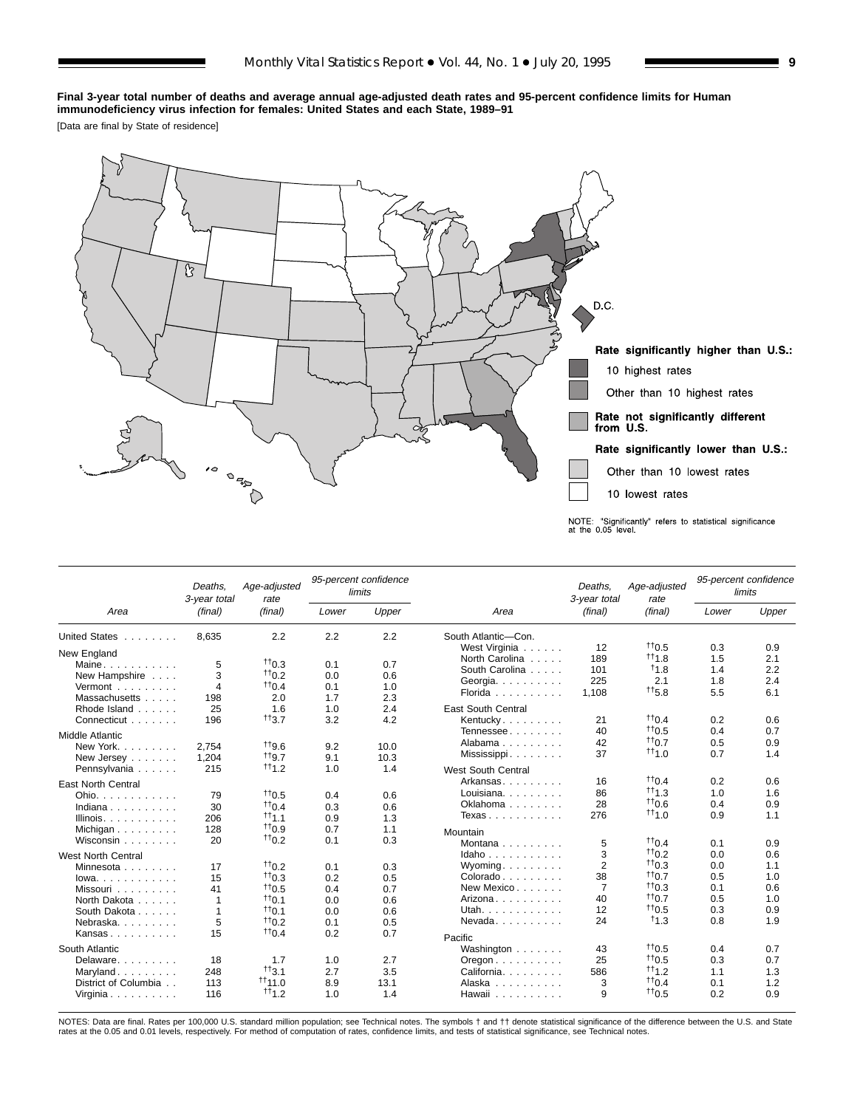#### **Final 3-year total number of deaths and average annual age-adjusted death rates and 95-percent confidence limits for Human immunodeficiency virus infection for females: United States and each State, 1989–91**

[Data are final by State of residence]



|                                      | Deaths.<br>3-year total | Age-adjusted<br>rate |       | 95-percent confidence<br>limits |                                                 | Deaths.<br>3-year total | Age-adjusted<br>rate |       | 95-percent confidence<br>limits |  |
|--------------------------------------|-------------------------|----------------------|-------|---------------------------------|-------------------------------------------------|-------------------------|----------------------|-------|---------------------------------|--|
| Area                                 | (final)                 | (final)              | Lower | Upper                           | Area                                            | (final)                 | (final)              | Lower | Upper                           |  |
| United States                        | 8.635                   | 2.2                  | 2.2   | 2.2                             | South Atlantic-Con.                             |                         |                      |       |                                 |  |
| New England                          |                         |                      |       |                                 | West Virginia                                   | 12                      | $^{+10.5}$           | 0.3   | 0.9                             |  |
| Maine                                | 5                       | $+10.3$              | 0.1   | 0.7                             | North Carolina                                  | 189                     | $+11.8$              | 1.5   | 2.1                             |  |
| New Hampshire                        | 3                       | $+10.2$              | 0.0   | 0.6                             | South Carolina                                  | 101                     | 11.8                 | 1.4   | 2.2                             |  |
| Vermont $\ldots$                     | $\overline{4}$          | $+10.4$              | 0.1   | 1.0                             | Georgia. $\ldots$ .                             | 225                     | 2.1                  | 1.8   | 2.4                             |  |
| Massachusetts                        | 198                     | 2.0                  | 1.7   | 2.3                             | Florida                                         | 1.108                   | $^{+15.8}$           | 5.5   | 6.1                             |  |
| Rhode Island                         | 25                      | 1.6                  | 1.0   | 2.4                             | <b>East South Central</b>                       |                         |                      |       |                                 |  |
| Connecticut                          | 196                     | $^{++}3.7$           | 3.2   | 4.2                             | Kentucky                                        | 21                      | $^{++}$ 0.4          | 0.2   | 0.6                             |  |
| Middle Atlantic                      |                         |                      |       |                                 | Tennessee                                       | 40                      | $+10.5$              | 0.4   | 0.7                             |  |
| New York.                            | 2.754                   | <sup>119.6</sup>     | 9.2   | 10.0                            | Alabama                                         | 42                      | $+10.7$              | 0.5   | 0.9                             |  |
|                                      | 1,204                   | $+19.7$              | 9.1   | 10.3                            | Mississippi                                     | 37                      | $+11.0$              | 0.7   | 1.4                             |  |
| New Jersey                           | 215                     | $+11.2$              | 1.0   | 1.4                             |                                                 |                         |                      |       |                                 |  |
| Pennsylvania                         |                         |                      |       |                                 | West South Central                              |                         | $tt_{04}$            |       |                                 |  |
| <b>East North Central</b>            |                         |                      |       |                                 | Arkansas                                        | 16                      |                      | 0.2   | 0.6                             |  |
| Ohio. $\ldots$ , $\ldots$ , $\ldots$ | 79                      | $+10.5$              | 0.4   | 0.6                             | Louisiana.                                      | 86                      | $+11.3$              | 1.0   | 1.6                             |  |
| Indiana                              | 30                      | $^{++}$ 0.4          | 0.3   | 0.6                             | Oklahoma                                        | 28                      | 110.6                | 0.4   | 0.9                             |  |
| Illinois.                            | 206                     | $+11.1$              | 0.9   | 1.3                             | Texas                                           | 276                     | $^{++}$ 1.0          | 0.9   | 1.1                             |  |
| Michigan                             | 128                     | 110.9                | 0.7   | 1.1                             | Mountain                                        |                         |                      |       |                                 |  |
| Wisconsin                            | 20                      | $+10.2$              | 0.1   | 0.3                             | Montana $\ldots$ $\ldots$ .                     | 5                       | $+10.4$              | 0.1   | 0.9                             |  |
| <b>West North Central</b>            |                         |                      |       |                                 | Idaho                                           | 3                       | $+10.2$              | 0.0   | 0.6                             |  |
| Minnesota                            | 17                      | $+10.2$              | 0.1   | 0.3                             | Wyoming.                                        | $\overline{2}$          | $+10.3$              | 0.0   | 1.1                             |  |
| $lowa. \ldots. \ldots.$              | 15                      | $+10.3$              | 0.2   | 0.5                             | $Colorado \ldots \ldots$                        | 38                      | $^{11}0.7$           | 0.5   | 1.0                             |  |
| Missouri                             | 41                      | $^{++0.5}$           | 0.4   | 0.7                             | New Mexico                                      | $\overline{7}$          | $+10.3$              | 0.1   | 0.6                             |  |
| North Dakota                         | -1                      | $+10.1$              | 0.0   | 0.6                             | Arizona                                         | 40                      | $+10.7$              | 0.5   | 1.0                             |  |
| South Dakota                         |                         | $+10.1$              | 0.0   | 0.6                             | Utah.                                           | 12                      | $+10.5$              | 0.3   | 0.9                             |  |
| Nebraska.                            | 5                       | $^{++}$ 0.2          | 0.1   | 0.5                             | Nevada                                          | 24                      | $+1.3$               | 0.8   | 1.9                             |  |
| Kansas                               | 15                      | $+10.4$              | 0.2   | 0.7                             | Pacific                                         |                         |                      |       |                                 |  |
| South Atlantic                       |                         |                      |       |                                 | Washington                                      | 43                      | $+10.5$              | 0.4   | 0.7                             |  |
| Delaware                             | 18                      | 1.7                  | 1.0   | 2.7                             |                                                 | 25                      | $+10.5$              | 0.3   | 0.7                             |  |
| Maryland                             | 248                     | $^{++}3.1$           | 2.7   | 3.5                             | $O$ regon $\ldots \ldots \ldots$<br>California. | 586                     | $^{11}1.2$           | 1.1   | 1.3                             |  |
| District of Columbia                 | 113                     | $+111.0$             | 8.9   | 13.1                            | Alaska                                          | 3                       | $^{++0.4}$           | 0.1   | 1.2                             |  |
| Virginia                             | 116                     | $+11.2$              | 1.0   | 1.4                             | Hawaii                                          | 9                       | $+10.5$              | 0.2   | 0.9                             |  |

NOTES: Data are final. Rates per 100,000 U.S. standard million population; see Technical notes. The symbols † and †† denote statistical significance of the difference between the U.S. and State<br>rates at the 0.05 and 0.01 l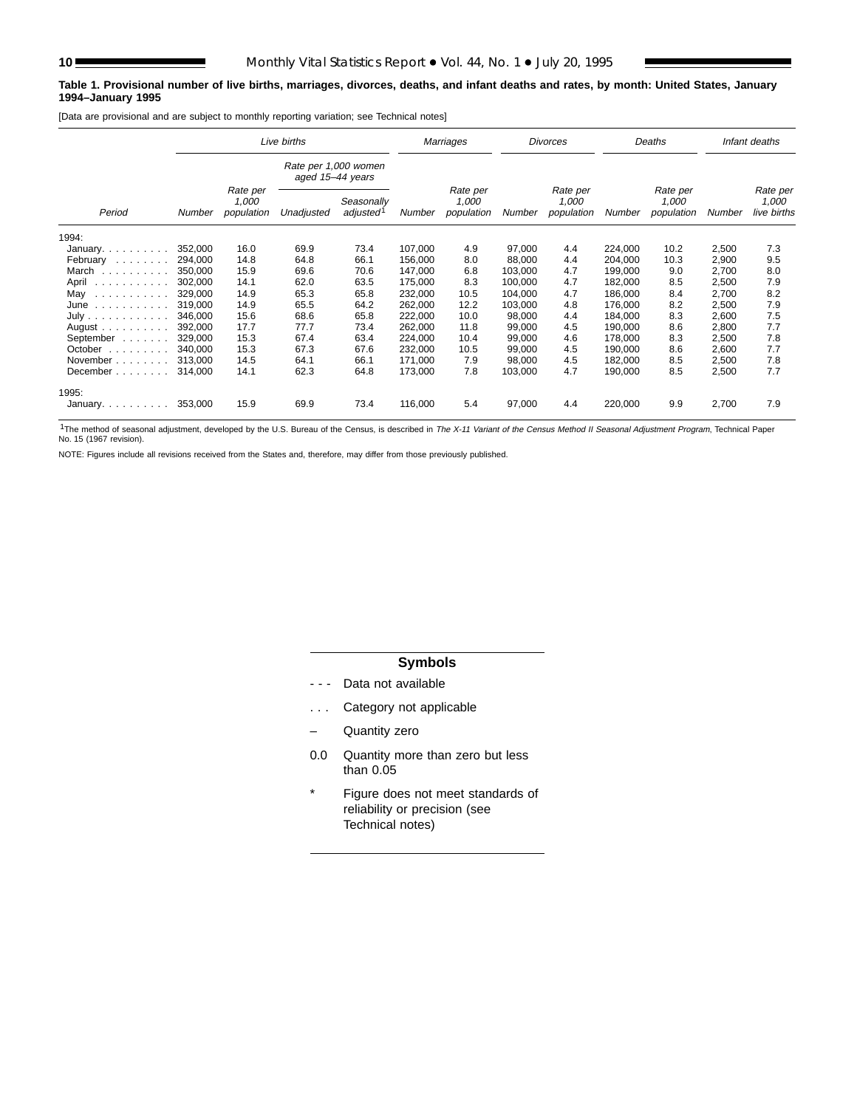#### **Table 1. Provisional number of live births, marriages, divorces, deaths, and infant deaths and rates, by month: United States, January 1994–January 1995**

[Data are provisional and are subject to monthly reporting variation; see Technical notes]

|                                       |               |                                 | Live births                              |                                     |         | Marriages                       |         | <b>Divorces</b>                 |         | Deaths                          | Infant deaths |                                  |
|---------------------------------------|---------------|---------------------------------|------------------------------------------|-------------------------------------|---------|---------------------------------|---------|---------------------------------|---------|---------------------------------|---------------|----------------------------------|
|                                       |               |                                 | Rate per 1,000 women<br>aged 15-44 years |                                     |         |                                 |         |                                 |         |                                 |               |                                  |
| Period                                | <b>Number</b> | Rate per<br>1,000<br>population | Unadjusted                               | Seasonally<br>adjusted <sup>1</sup> | Number  | Rate per<br>1,000<br>population | Number  | Rate per<br>1.000<br>population | Number  | Rate per<br>1.000<br>population | Number        | Rate per<br>1,000<br>live births |
| 1994:                                 |               |                                 |                                          |                                     |         |                                 |         |                                 |         |                                 |               |                                  |
| January. $\ldots$                     | 352,000       | 16.0                            | 69.9                                     | 73.4                                | 107.000 | 4.9                             | 97,000  | 4.4                             | 224,000 | 10.2                            | 2,500         | 7.3                              |
| February<br>and a state of a          | 294.000       | 14.8                            | 64.8                                     | 66.1                                | 156,000 | 8.0                             | 88.000  | 4.4                             | 204,000 | 10.3                            | 2,900         | 9.5                              |
| March                                 | 350.000       | 15.9                            | 69.6                                     | 70.6                                | 147.000 | 6.8                             | 103.000 | 4.7                             | 199.000 | 9.0                             | 2.700         | 8.0                              |
| April                                 | 302,000       | 14.1                            | 62.0                                     | 63.5                                | 175,000 | 8.3                             | 100,000 | 4.7                             | 182,000 | 8.5                             | 2,500         | 7.9                              |
| May<br>.                              | 329,000       | 14.9                            | 65.3                                     | 65.8                                | 232,000 | 10.5                            | 104,000 | 4.7                             | 186,000 | 8.4                             | 2,700         | 8.2                              |
| June                                  | 319,000       | 14.9                            | 65.5                                     | 64.2                                | 262,000 | 12.2                            | 103,000 | 4.8                             | 176,000 | 8.2                             | 2,500         | 7.9                              |
| July                                  | 346.000       | 15.6                            | 68.6                                     | 65.8                                | 222,000 | 10.0                            | 98,000  | 4.4                             | 184,000 | 8.3                             | 2,600         | 7.5                              |
| August $\ldots$ , $\ldots$ , $\ldots$ | 392.000       | 17.7                            | 77.7                                     | 73.4                                | 262,000 | 11.8                            | 99,000  | 4.5                             | 190,000 | 8.6                             | 2,800         | 7.7                              |
| September                             | 329.000       | 15.3                            | 67.4                                     | 63.4                                | 224,000 | 10.4                            | 99,000  | 4.6                             | 178,000 | 8.3                             | 2,500         | 7.8                              |
| October<br>.                          | 340.000       | 15.3                            | 67.3                                     | 67.6                                | 232,000 | 10.5                            | 99,000  | 4.5                             | 190.000 | 8.6                             | 2,600         | 7.7                              |
| November                              | 313.000       | 14.5                            | 64.1                                     | 66.1                                | 171,000 | 7.9                             | 98,000  | 4.5                             | 182,000 | 8.5                             | 2,500         | 7.8                              |
| December                              | 314,000       | 14.1                            | 62.3                                     | 64.8                                | 173,000 | 7.8                             | 103,000 | 4.7                             | 190,000 | 8.5                             | 2,500         | 7.7                              |
| 1995:                                 |               |                                 |                                          |                                     |         |                                 |         |                                 |         |                                 |               |                                  |
| January                               | 353,000       | 15.9                            | 69.9                                     | 73.4                                | 116,000 | 5.4                             | 97,000  | 4.4                             | 220,000 | 9.9                             | 2,700         | 7.9                              |

<sup>1</sup>The method of seasonal adjustment, developed by the U.S. Bureau of the Census, is described in The X-11 Variant of the Census Method II Seasonal Adjustment Program, Technical Paper No. 15 (1967 revision).

NOTE: Figures include all revisions received from the States and, therefore, may differ from those previously published.

## **Symbols**

- - Data not available
- . . . Category not applicable
- Quantity zero
- 0.0 Quantity more than zero but less than 0.05
- \* Figure does not meet standards of reliability or precision (see Technical notes)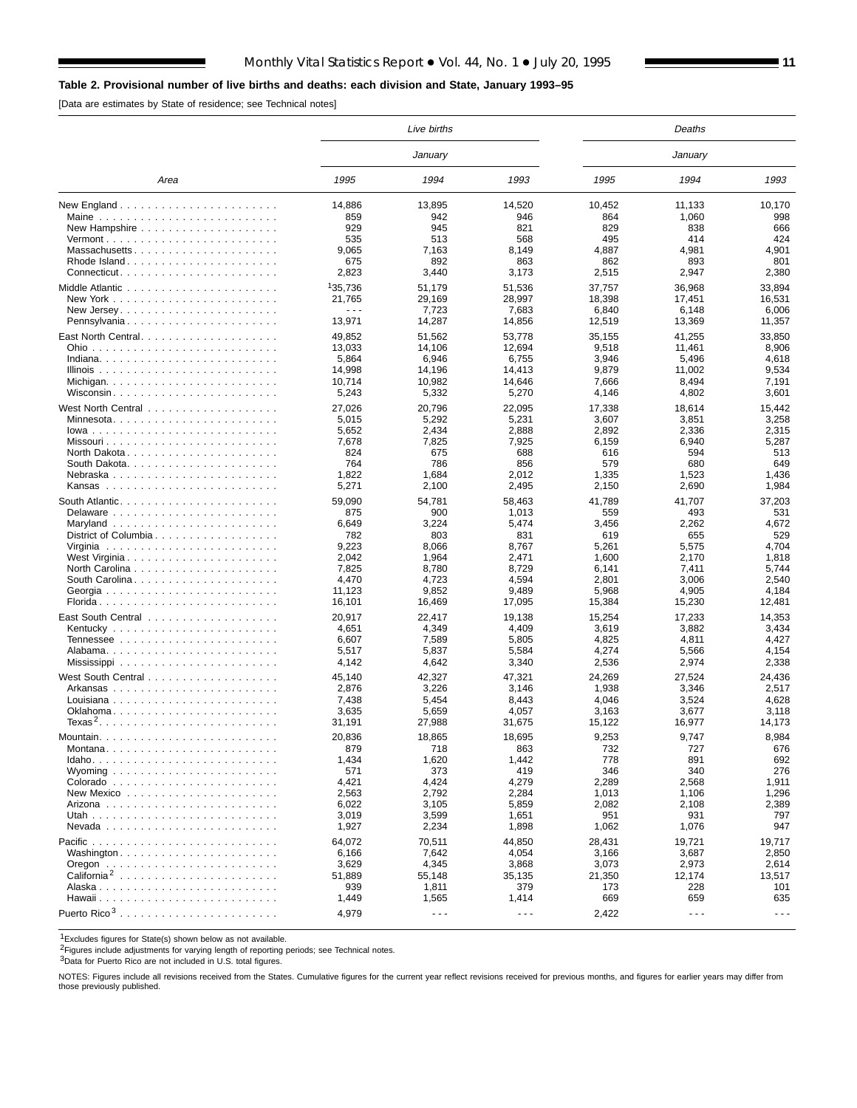## **Table 2. Provisional number of live births and deaths: each division and State, January 1993–95**

[Data are estimates by State of residence; see Technical notes]

|                                                                 |                      | Live births |                      |            | Deaths               |                      |
|-----------------------------------------------------------------|----------------------|-------------|----------------------|------------|----------------------|----------------------|
|                                                                 |                      | January     |                      |            | January              |                      |
| Area                                                            | 1995                 | 1994        | 1993                 | 1995       | 1994                 | 1993                 |
|                                                                 | 14,886               | 13,895      | 14,520               | 10,452     | 11,133               | 10,170               |
|                                                                 | 859                  | 942         | 946                  | 864        | 1,060                | 998                  |
|                                                                 | 929                  | 945         | 821                  | 829        | 838                  | 666                  |
| $Vermont$                                                       | 535                  | 513         | 568                  | 495        | 414                  | 424                  |
| Massachusetts                                                   | 9.065                | 7,163       | 8.149                | 4.887      | 4,981                | 4,901                |
| Rhode Island                                                    | 675                  | 892         | 863                  | 862        | 893                  | 801                  |
| $Connecticut. \ldots \ldots \ldots \ldots \ldots \ldots \ldots$ | 2,823                | 3,440       | 3,173                | 2,515      | 2,947                | 2,380                |
|                                                                 | 135,736              | 51,179      | 51,536               | 37,757     | 36,968               | 33,894               |
|                                                                 | 21,765               | 29,169      | 28,997               | 18,398     | 17,451               | 16,531               |
|                                                                 | $\sim$ $\sim$ $\sim$ | 7,723       | 7,683                | 6,840      | 6,148                | 6,006                |
| Pennsylvania                                                    | 13,971               | 14,287      | 14,856               | 12,519     | 13,369               | 11,357               |
|                                                                 | 49,852               | 51,562      | 53,778               | 35,155     | 41,255               | 33,850               |
|                                                                 | 13,033               | 14,106      | 12,694               | 9,518      | 11,461               | 8,906                |
|                                                                 | 5,864                | 6,946       | 6,755                | 3,946      | 5,496                | 4,618                |
|                                                                 | 14,998               | 14,196      | 14,413               | 9,879      | 11,002               | 9,534                |
|                                                                 | 10,714               | 10,982      | 14,646               | 7,666      | 8,494                | 7,191                |
| Wisconsin                                                       | 5,243                | 5,332       | 5,270                | 4,146      | 4,802                | 3,601                |
|                                                                 |                      |             |                      |            |                      |                      |
|                                                                 | 27,026               | 20,796      | 22,095               | 17,338     | 18,614               | 15,442               |
| Minnesota                                                       | 5,015                | 5,292       | 5,231                | 3,607      | 3,851                | 3,258                |
|                                                                 | 5,652                | 2,434       | 2,888                | 2,892      | 2,336                | 2,315                |
|                                                                 | 7,678                | 7,825       | 7,925                | 6,159      | 6,940                | 5,287                |
|                                                                 | 824<br>764           | 675<br>786  | 688<br>856           | 616<br>579 | 594<br>680           | 513<br>649           |
| Nebraska                                                        | 1,822                | 1,684       | 2,012                | 1,335      | 1,523                | 1,436                |
|                                                                 | 5,271                | 2,100       | 2,495                | 2,150      | 2,690                | 1,984                |
|                                                                 |                      |             |                      |            |                      |                      |
|                                                                 | 59,090               | 54,781      | 58,463               | 41,789     | 41,707               | 37,203               |
|                                                                 | 875                  | 900         | 1,013                | 559        | 493                  | 531                  |
|                                                                 | 6,649                | 3,224       | 5,474                | 3,456      | 2,262                | 4,672                |
| District of Columbia                                            | 782                  | 803         | 831                  | 619        | 655                  | 529                  |
|                                                                 | 9,223                | 8,066       | 8,767                | 5,261      | 5,575                | 4,704                |
|                                                                 | 2,042                | 1,964       | 2,471                | 1,600      | 2,170                | 1,818                |
|                                                                 | 7,825                | 8,780       | 8,729                | 6,141      | 7,411                | 5,744                |
|                                                                 | 4,470                | 4,723       | 4,594                | 2,801      | 3,006                | 2.540                |
| Georgia                                                         | 11,123               | 9,852       | 9,489<br>17,095      | 5,968      | 4,905                | 4,184                |
| Florida                                                         | 16,101               | 16,469      |                      | 15,384     | 15,230               | 12,481               |
| East South Central                                              | 20,917               | 22,417      | 19,138               | 15,254     | 17,233               | 14,353               |
|                                                                 | 4,651                | 4,349       | 4,409                | 3,619      | 3,882                | 3,434                |
|                                                                 | 6,607                | 7,589       | 5,805                | 4,825      | 4,811                | 4,427                |
|                                                                 | 5,517                | 5,837       | 5,584                | 4,274      | 5,566                | 4,154                |
|                                                                 | 4,142                | 4,642       | 3,340                | 2,536      | 2,974                | 2,338                |
|                                                                 | 45,140               | 42,327      | 47,321               | 24,269     | 27,524               | 24,436               |
|                                                                 | 2,876                | 3,226       | 3,146                | 1,938      | 3,346                | 2,517                |
|                                                                 | 7,438                | 5,454       | 8,443                | 4,046      | 3,524                | 4,628                |
| Oklahoma                                                        | 3,635                | 5,659       | 4,057                | 3,163      | 3,677                | 3,118                |
|                                                                 | 31,191               | 27,988      | 31,675               | 15,122     | 16,977               | 14,173               |
|                                                                 | 20,836               | 18,865      | 18.695               | 9.253      | 9.747                | 8.984                |
| Montana                                                         | 879                  | 718         | 863                  | 732        | 727                  | 676                  |
| $Idaho.$                                                        | 1,434                | 1,620       | 1,442                | 778        | 891                  | 692                  |
|                                                                 | 571                  | 373         | 419                  | 346        | 340                  | 276                  |
|                                                                 | 4,421                | 4,424       | 4,279                | 2,289      | 2,568                | 1,911                |
| New Mexico $\ldots$ , $\ldots$ , $\ldots$ , $\ldots$ , $\ldots$ | 2,563                | 2,792       | 2,284                | 1,013      | 1,106                | 1,296                |
|                                                                 | 6,022                | 3,105       | 5,859                | 2,082      | 2,108                | 2,389                |
|                                                                 | 3,019                | 3,599       | 1,651                | 951        | 931                  | 797                  |
|                                                                 | 1,927                | 2,234       | 1,898                | 1,062      | 1,076                | 947                  |
|                                                                 | 64,072               | 70,511      | 44,850               | 28,431     | 19,721               | 19,717               |
| Washington                                                      | 6,166                | 7,642       | 4,054                | 3,166      | 3,687                | 2,850                |
|                                                                 | 3,629                | 4,345       | 3,868                | 3,073      | 2,973                | 2,614                |
| California <sup>2</sup>                                         | 51,889               | 55,148      | 35,135               | 21,350     | 12,174               | 13,517               |
|                                                                 | 939                  | 1,811       | 379                  | 173        | 228                  | 101                  |
|                                                                 | 1,449                | 1,565       | 1,414                | 669        | 659                  | 635                  |
| Puerto Rico <sup>3</sup>                                        |                      |             |                      |            |                      |                      |
|                                                                 | 4,979                | $- - -$     | $\sim$ $\sim$ $\sim$ | 2,422      | $\sim$ $\sim$ $\sim$ | $\sim$ $\sim$ $\sim$ |

1Excludes figures for State(s) shown below as not available.

<sup>2</sup>Figures include adjustments for varying length of reporting periods; see Technical notes.

3Data for Puerto Rico are not included in U.S. total figures.

NOTES: Figures include all revisions received from the States. Cumulative figures for the current year reflect revisions received for previous months, and figures for earlier years may differ from those previously published.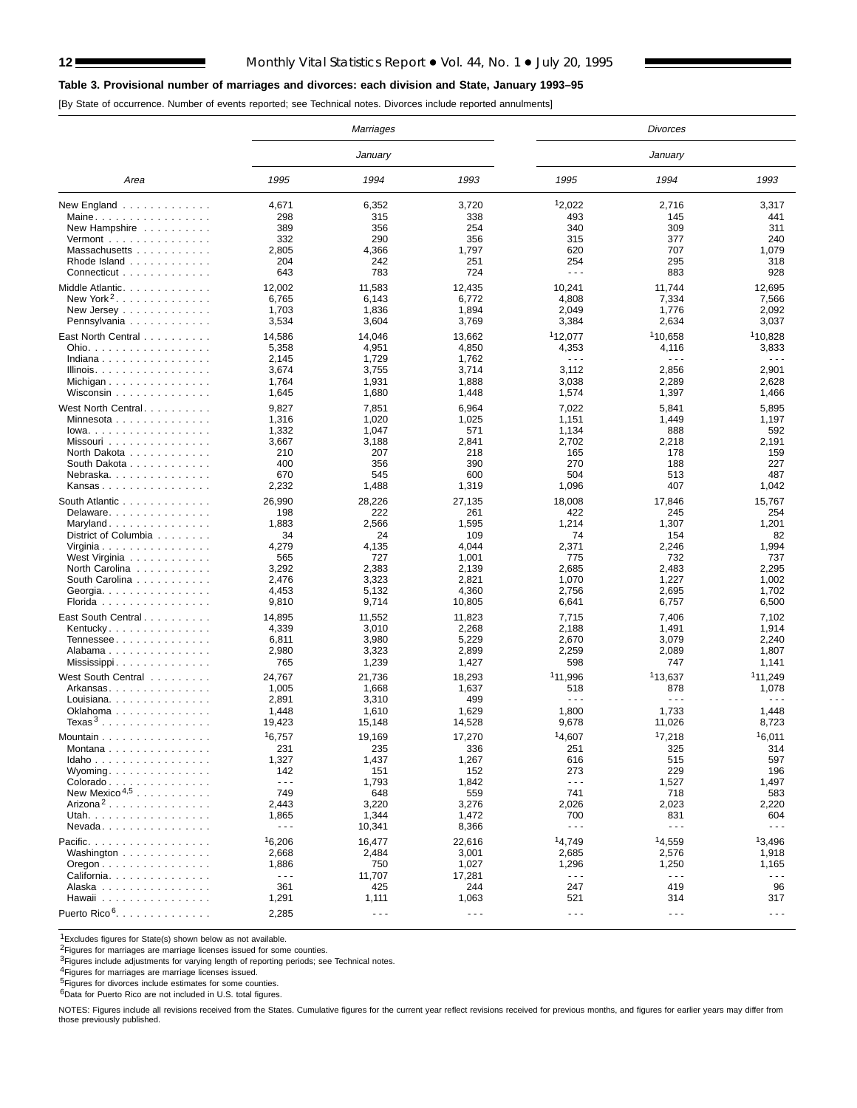## 12 Monthly Vital Statistics Report • Vol. 44, No. 1 • July 20, 1995

## **Table 3. Provisional number of marriages and divorces: each division and State, January 1993–95**

[By State of occurrence. Number of events reported; see Technical notes. Divorces include reported annulments]

|                                                |                      | Marriages            |                      |                      | Divorces             |                      |
|------------------------------------------------|----------------------|----------------------|----------------------|----------------------|----------------------|----------------------|
|                                                |                      | January              |                      |                      | January              |                      |
| Area                                           | 1995                 | 1994                 | 1993                 | 1995                 | 1994                 | 1993                 |
| New England $\ldots \ldots \ldots \ldots$      | 4,671                | 6,352                | 3,720                | 12,022               | 2,716                | 3,317                |
| Maine                                          | 298                  | 315                  | 338                  | 493                  | 145                  | 441                  |
| New Hampshire                                  | 389                  | 356                  | 254                  | 340                  | 309                  | 311                  |
| Vermont $\ldots \ldots \ldots \ldots$          | 332                  | 290                  | 356                  | 315                  | 377                  | 240                  |
| Massachusetts                                  | 2,805                | 4,366                | 1,797                | 620                  | 707                  | 1,079                |
| Rhode Island                                   | 204                  | 242                  | 251                  | 254                  | 295                  | 318                  |
| Connecticut                                    | 643                  | 783                  | 724                  | $  -$                | 883                  | 928                  |
| Middle Atlantic.                               | 12,002               | 11,583               | 12,435               | 10,241               | 11,744               | 12,695               |
| New York <sup>2</sup>                          | 6,765                | 6,143                | 6,772                | 4,808                | 7,334                | 7,566                |
| New Jersey                                     | 1,703                | 1,836                | 1,894                | 2,049                | 1,776                | 2,092                |
| Pennsylvania                                   | 3,534                | 3,604                | 3,769                | 3,384                | 2,634                | 3,037                |
|                                                |                      |                      |                      |                      |                      |                      |
| East North Central                             | 14,586               | 14,046               | 13,662               | <sup>1</sup> 12,077  | <sup>1</sup> 10,658  | 110,828              |
| Ohio.                                          | 5,358                | 4,951                | 4,850                | 4,353                | 4,116                | 3,833                |
| Indiana                                        | 2,145                | 1,729                | 1,762                | $\sim$ $\sim$ $\sim$ | $\sim$ $\sim$ $\sim$ | $\sim$ $\sim$ $\sim$ |
| Illinois.                                      | 3,674                | 3,755                | 3,714                | 3,112                | 2,856                | 2,901                |
| Michigan                                       | 1,764                | 1,931                | 1,888                | 3,038                | 2,289                | 2,628                |
| Wisconsin                                      | 1,645                | 1,680                | 1,448                | 1,574                | 1,397                | 1,466                |
| West North Central.                            | 9,827                | 7,851                | 6,964                | 7,022                | 5,841                | 5,895                |
| Minnesota                                      | 1,316                | 1,020                | 1,025                | 1,151                | 1,449                | 1,197                |
| $lowa.$                                        | 1,332                | 1,047                | 571                  | 1,134                | 888                  | 592                  |
| Missouri                                       | 3,667                | 3,188                | 2,841                | 2,702                | 2,218                | 2,191                |
| North Dakota                                   | 210                  | 207                  | 218                  | 165                  | 178                  | 159                  |
| South Dakota                                   | 400                  | 356                  | 390                  | 270                  | 188                  | 227                  |
| Nebraska.                                      | 670                  | 545                  | 600                  | 504                  | 513                  | 487                  |
| Kansas                                         | 2,232                | 1,488                | 1,319                | 1,096                | 407                  | 1,042                |
| South Atlantic                                 | 26,990               | 28,226               | 27,135               | 18,008               | 17,846               | 15,767               |
|                                                | 198                  | 222                  | 261                  | 422                  | 245                  | 254                  |
| Delaware.                                      | 1,883                | 2,566                | 1,595                | 1,214                |                      | 1,201                |
| Maryland                                       | 34                   | 24                   | 109                  | 74                   | 1,307<br>154         | 82                   |
| District of Columbia                           |                      |                      | 4,044                |                      | 2,246                |                      |
| Virginia                                       | 4,279<br>565         | 4,135<br>727         | 1,001                | 2,371<br>775         | 732                  | 1,994<br>737         |
| West Virginia                                  | 3,292                | 2,383                |                      |                      | 2,483                | 2,295                |
| North Carolina                                 |                      |                      | 2,139                | 2,685                |                      |                      |
| South Carolina                                 | 2,476                | 3,323                | 2,821                | 1,070                | 1,227                | 1,002                |
| Georgia                                        | 4,453                | 5,132                | 4,360                | 2,756                | 2,695                | 1,702                |
| Florida                                        | 9,810                | 9,714                | 10,805               | 6,641                | 6,757                | 6,500                |
| East South Central                             | 14,895               | 11,552               | 11,823               | 7,715                | 7,406                | 7,102                |
| Kentucky                                       | 4,339                | 3,010                | 2,268                | 2,188                | 1,491                | 1,914                |
| Tennessee                                      | 6,811                | 3,980                | 5,229                | 2,670                | 3,079                | 2,240                |
| Alabama                                        | 2,980                | 3,323                | 2,899                | 2,259                | 2,089                | 1,807                |
| Mississippi                                    | 765                  | 1,239                | 1,427                | 598                  | 747                  | 1,141                |
| West South Central                             | 24,767               | 21,736               | 18,293               | <sup>1</sup> 11.996  | 113,637              | <sup>1</sup> 11,249  |
| Arkansas                                       | 1,005                | 1,668                | 1,637                | 518                  | 878                  | 1,078                |
| Louisiana                                      | 2,891                | 3,310                | 499                  | $\sim$ $\sim$ $\sim$ | $\sim$ $\sim$ $\sim$ | .                    |
| Oklahoma                                       | 1,448                | 1,610                | 1,629                | 1,800                | 1,733                | 1,448                |
| Texas <sup>3</sup>                             | 19,423               | 15,148               | 14,528               | 9,678                | 11,026               | 8,723                |
|                                                |                      |                      |                      |                      |                      |                      |
| Mountain $\ldots \ldots \ldots$                | 16,757               | 19.169               | 17,270               | 14.607               | 17,218               | 16,011               |
| Montana                                        | 231                  | 235                  | 336                  | 251                  | 325                  | 314                  |
| Idaho                                          | 1,327                | 1,437                | 1,267                | 616                  | 515                  | 597                  |
| Wyoming                                        | 142                  | 151                  | 152                  | 273                  | 229                  | 196                  |
| Colorado                                       | $\sim$ $\sim$ $\sim$ | 1,793                | 1,842                | $\sim$ $\sim$ $\sim$ | 1,527                | 1,497                |
| New Mexico <sup>4,5</sup>                      | 749                  | 648                  | 559                  | 741                  | 718                  | 583                  |
| Arizona <sup>2</sup>                           | 2,443                | 3,220                | 3,276                | 2,026                | 2,023                | 2,220                |
| Utah.                                          | 1,865                | 1,344                | 1,472                | 700                  | 831                  | 604                  |
| $N$ evada                                      | $\sim$ $\sim$ $\sim$ | 10,341               | 8,366                | $\sim$ $\sim$ $\sim$ | $\sim$ $\sim$ $\sim$ | $\sim$ $\sim$ $\sim$ |
| Pacific                                        | 16,206               | 16,477               | 22,616               | 14,749               | 14,559               | 13,496               |
| Washington                                     | 2,668                | 2,484                | 3,001                | 2,685                | 2,576                | 1,918                |
| $O$ regon $\ldots \ldots \ldots \ldots \ldots$ | 1,886                | 750                  | 1,027                | 1,296                | 1,250                | 1,165                |
| California                                     | $\sim$ $\sim$ $\sim$ | 11,707               | 17,281               | $\sim$ $\sim$ $\sim$ | $\sim$ $\sim$ $\sim$ | $\sim$ $\sim$ $\sim$ |
| Alaska                                         | 361                  | 425                  | 244                  | 247                  | 419                  | 96                   |
| Hawaii                                         | 1,291                | 1,111                | 1,063                | 521                  | 314                  | 317                  |
| Puerto Rico <sup>6</sup> .                     |                      |                      |                      |                      |                      |                      |
|                                                | 2,285                | $\sim$ $\sim$ $\sim$ | $\sim$ $\sim$ $\sim$ | $\sim$ $\sim$ $\sim$ | $\sim$ $\sim$ $\sim$ | $\sim$ $\sim$ $\sim$ |

1Excludes figures for State(s) shown below as not available.

<sup>2</sup>Figures for marriages are marriage licenses issued for some counties.

3Figures include adjustments for varying length of reporting periods; see Technical notes.

<sup>4</sup>Figures for marriages are marriage licenses issued.<br><sup>5</sup>Figures for divorces include estimates for some counties.

6Data for Puerto Rico are not included in U.S. total figures.

NOTES: Figures include all revisions received from the States. Cumulative figures for the current year reflect revisions received for previous months, and figures for earlier years may differ from those previously published.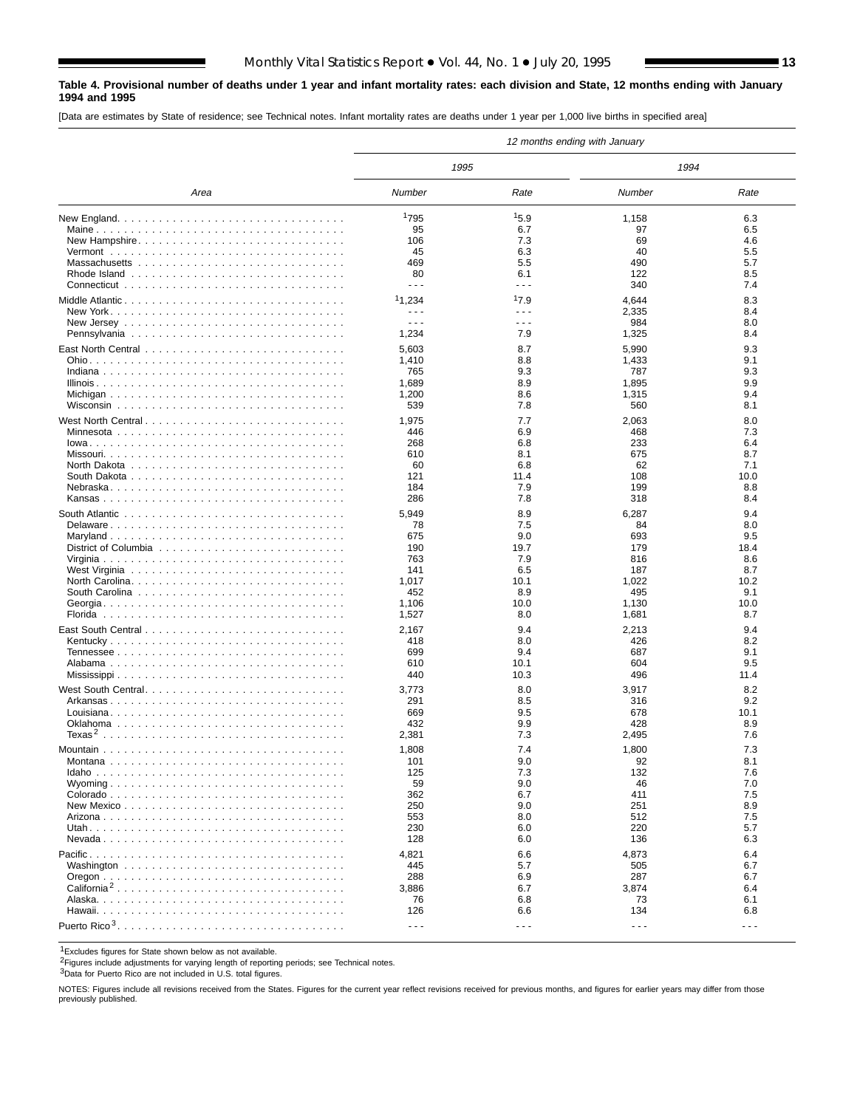#### **Table 4. Provisional number of deaths under 1 year and infant mortality rates: each division and State, 12 months ending with January 1994 and 1995**

[Data are estimates by State of residence; see Technical notes. Infant mortality rates are deaths under 1 year per 1,000 live births in specified area]

|                         |                      |                      | 12 months ending with January |                      |
|-------------------------|----------------------|----------------------|-------------------------------|----------------------|
|                         | 1995                 |                      | 1994                          |                      |
| Area                    | Number               | Rate                 | Number                        | Rate                 |
|                         | 1795                 | 15.9                 | 1,158                         | 6.3                  |
|                         | 95                   | 6.7                  | 97                            | 6.5                  |
|                         | 106                  | 7.3                  | 69                            | 4.6                  |
|                         | 45                   | 6.3                  | 40                            | 5.5                  |
|                         | 469                  | 5.5                  | 490                           | 5.7                  |
|                         | 80                   | 6.1                  | 122                           | 8.5                  |
|                         | - - -                | $\frac{1}{2}$        | 340                           | 7.4                  |
|                         | 11,234               | 17.9                 | 4,644                         | 8.3                  |
|                         | - - -                | $\sim$ $\sim$ $\sim$ | 2,335                         | 8.4                  |
|                         | - - -                | $\sim$ $\sim$ $\sim$ | 984                           | 8.0                  |
|                         | 1,234                | 7.9                  | 1,325                         | 8.4                  |
|                         | 5,603                | 8.7                  | 5,990                         | 9.3                  |
|                         | 1,410                | 8.8                  | 1,433                         | 9.1                  |
|                         | 765                  | 9.3                  | 787                           | 9.3                  |
|                         | 1,689                | 8.9                  | 1,895                         | 9.9                  |
|                         | 1,200                | 8.6                  | 1,315                         | 9.4                  |
|                         | 539                  | 7.8                  | 560                           | 8.1                  |
|                         | 1,975                | 7.7                  |                               | 8.0                  |
|                         | 446                  | 6.9                  | 2,063<br>468                  | 7.3                  |
|                         | 268                  | 6.8                  | 233                           | 6.4                  |
|                         | 610                  | 8.1                  | 675                           | 8.7                  |
|                         | 60                   | 6.8                  | 62                            | 7.1                  |
|                         | 121                  | 11.4                 | 108                           | 10.0                 |
|                         | 184                  | 7.9                  | 199                           | 8.8                  |
|                         | 286                  | 7.8                  | 318                           | 8.4                  |
|                         |                      |                      |                               |                      |
|                         | 5,949                | 8.9                  | 6,287                         | 9.4                  |
|                         | 78<br>675            | 7.5<br>9.0           | 84<br>693                     | 8.0<br>9.5           |
|                         | 190                  | 19.7                 | 179                           | 18.4                 |
|                         | 763                  | 7.9                  | 816                           | 8.6                  |
|                         | 141                  | 6.5                  | 187                           | 8.7                  |
|                         | 1,017                | 10.1                 | 1,022                         | 10.2                 |
|                         | 452                  | 8.9                  | 495                           | 9.1                  |
|                         | 1,106                | 10.0                 | 1,130                         | 10.0                 |
|                         | 1,527                | 8.0                  | 1,681                         | 8.7                  |
|                         | 2,167                | 9.4                  | 2,213                         | 9.4                  |
|                         | 418                  | 8.0                  | 426                           | 8.2                  |
|                         | 699                  | 9.4                  | 687                           | 9.1                  |
|                         | 610                  | 10.1                 | 604                           | 9.5                  |
|                         | 440                  | 10.3                 | 496                           | 11.4                 |
|                         |                      |                      |                               |                      |
|                         | 3,773<br>291         | 8.0<br>8.5           | 3,917<br>316                  | 8.2<br>9.2           |
|                         | 669                  | 9.5                  | 678                           | 10.1                 |
|                         | 432                  | 9.9                  | 428                           | 8.9                  |
|                         | 2,381                | 7.3                  | 2,495                         | 7.6                  |
|                         |                      |                      |                               |                      |
|                         | 1,808                | 7.4                  | 1,800                         | 7.3                  |
|                         | 101                  | 9.0                  | 92                            | 8.1                  |
|                         | 125                  | 7.3                  | 132<br>46                     | 7.6<br>7.0           |
|                         | 59<br>362            | 9.0<br>6.7           | 411                           | 7.5                  |
|                         | 250                  | 9.0                  | 251                           | 8.9                  |
|                         | 553                  | 8.0                  | 512                           | 7.5                  |
|                         | 230                  | 6.0                  | 220                           | 5.7                  |
|                         | 128                  | 6.0                  | 136                           | 6.3                  |
|                         |                      |                      |                               |                      |
|                         | 4,821<br>445         | 6.6<br>5.7           | 4,873<br>505                  | 6.4<br>6.7           |
|                         | 288                  | 6.9                  | 287                           | 6.7                  |
| California <sup>2</sup> | 3,886                | 6.7                  | 3,874                         | 6.4                  |
|                         | 76                   | 6.8                  | 73                            | 6.1                  |
|                         | 126                  | 6.6                  | 134                           | 6.8                  |
|                         | $\sim$ $\sim$ $\sim$ | $\sim$ $\sim$ $\sim$ | $\sim$ $\sim$ $\sim$          | $\sim$ $\sim$ $\sim$ |
|                         |                      |                      |                               |                      |

1Excludes figures for State shown below as not available.

2Figures include adjustments for varying length of reporting periods; see Technical notes.

3Data for Puerto Rico are not included in U.S. total figures.

NOTES: Figures include all revisions received from the States. Figures for the current year reflect revisions received for previous months, and figures for earlier years may differ from those previously published.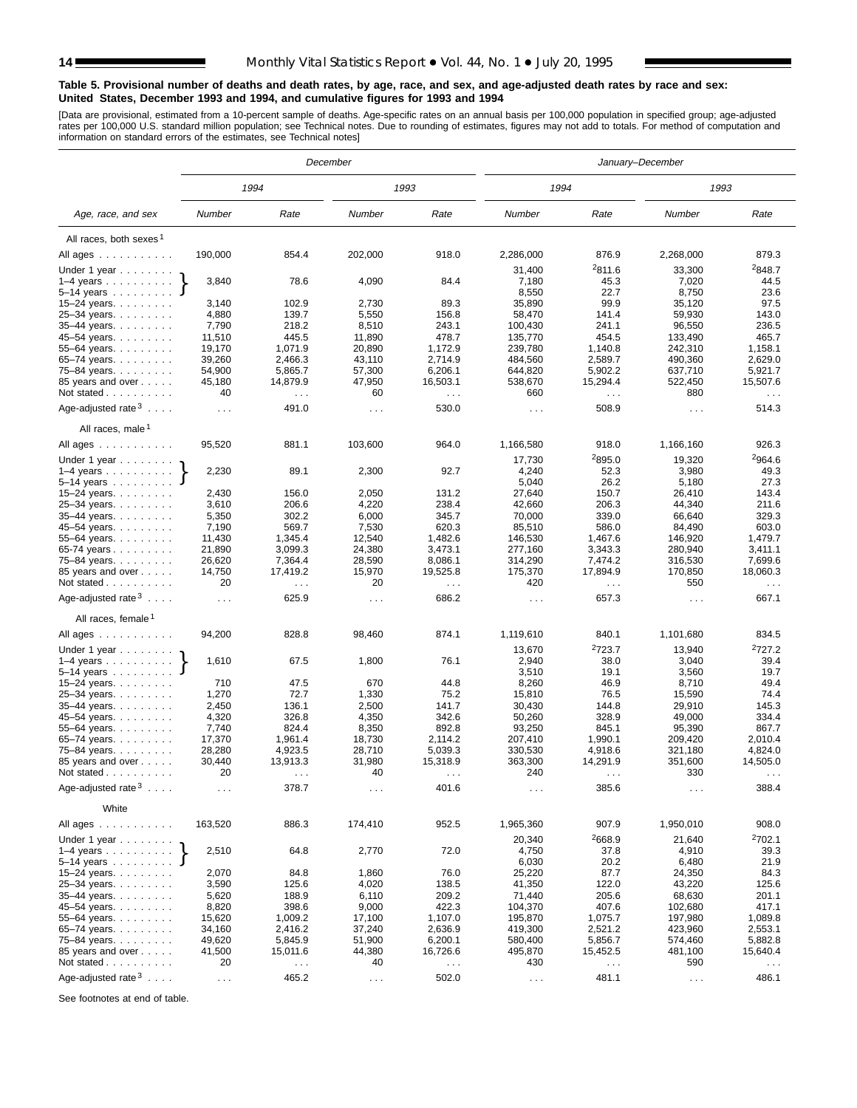#### **Table 5. Provisional number of deaths and death rates, by age, race, and sex, and age-adjusted death rates by race and sex: United States, December 1993 and 1994, and cumulative figures for 1993 and 1994**

[Data are provisional, estimated from a 10-percent sample of deaths. Age-specific rates on an annual basis per 100,000 population in specified group; age-adjusted<br>rates per 100,000 U.S. standard million population; see Tec

|                                          |                  |                                  | December         |                                  |                      |                                  | January-December     |                                  |
|------------------------------------------|------------------|----------------------------------|------------------|----------------------------------|----------------------|----------------------------------|----------------------|----------------------------------|
|                                          |                  | 1994                             |                  | 1993                             | 1994                 |                                  | 1993                 |                                  |
| Age, race, and sex                       | Number           | Rate                             | Number           | Rate                             | Number               | Rate                             | Number               | Rate                             |
| All races, both sexes <sup>1</sup>       |                  |                                  |                  |                                  |                      |                                  |                      |                                  |
| All ages                                 | 190,000          | 854.4                            | 202,000          | 918.0                            | 2,286,000            | 876.9                            | 2,268,000            | 879.3                            |
| Under 1 year                             |                  |                                  |                  |                                  | 31,400               | 2811.6                           | 33,300               | <sup>2</sup> 848.7               |
| $1-4$ years $\ldots$ $\ldots$ $\ldots$ . | 3,840            | 78.6                             | 4,090            | 84.4                             | 7,180                | 45.3                             | 7,020                | 44.5                             |
| $5 - 14$ years                           |                  |                                  |                  |                                  | 8,550                | 22.7                             | 8,750                | 23.6                             |
| $15 - 24$ years.                         | 3,140            | 102.9                            | 2,730            | 89.3                             | 35,890               | 99.9                             | 35,120               | 97.5                             |
| 25-34 years.                             | 4,880            | 139.7                            | 5,550            | 156.8                            | 58,470               | 141.4                            | 59,930               | 143.0                            |
| 35-44 years.                             | 7,790            | 218.2                            | 8,510            | 243.1                            | 100,430              | 241.1                            | 96,550               | 236.5                            |
| 45-54 years.<br>55-64 years.             | 11,510<br>19,170 | 445.5<br>1,071.9                 | 11,890<br>20,890 | 478.7<br>1,172.9                 | 135,770<br>239,780   | 454.5<br>1,140.8                 | 133,490<br>242,310   | 465.7<br>1,158.1                 |
| 65–74 years. $\ldots$                    | 39,260           | 2,466.3                          | 43,110           | 2,714.9                          | 484,560              | 2,589.7                          | 490,360              | 2,629.0                          |
| 75-84 years.                             | 54,900           | 5,865.7                          | 57,300           | 6,206.1                          | 644,820              | 5,902.2                          | 637,710              | 5,921.7                          |
| 85 years and over                        | 45,180           | 14,879.9                         | 47,950           | 16,503.1                         | 538,670              | 15,294.4                         | 522,450              | 15,507.6                         |
| Not stated                               | 40               | $\sim$ $\sim$ $\sim$             | 60               | $\sim$ $\sim$                    | 660                  | $\sim$ $\sim$                    | 880                  | $\sim$ $\sim$                    |
| Age-adjusted rate $3 \ldots$ .           | $\cdots$         | 491.0                            | $\cdots$         | 530.0                            | $\sim$ $\sim$ $\sim$ | 508.9                            | $\sim$ $\sim$ $\sim$ | 514.3                            |
| All races, male <sup>1</sup>             |                  |                                  |                  |                                  |                      |                                  |                      |                                  |
| All ages                                 | 95,520           | 881.1                            | 103,600          | 964.0                            | 1,166,580            | 918.0                            | 1,166,160            | 926.3                            |
| Under 1 year $\ldots \ldots$             | 2,230            |                                  |                  | 92.7                             | 17,730               | 2895.0<br>52.3                   | 19,320               | 2964.6<br>49.3                   |
| $1-4$ years<br>5–14 years $\ldots$       |                  | 89.1                             | 2,300            |                                  | 4,240<br>5,040       | 26.2                             | 3,980<br>5,180       | 27.3                             |
| 15–24 years. $\ldots$                    | 2,430            | 156.0                            | 2,050            | 131.2                            | 27,640               | 150.7                            | 26,410               | 143.4                            |
| 25-34 years.                             | 3,610            | 206.6                            | 4,220            | 238.4                            | 42,660               | 206.3                            | 44,340               | 211.6                            |
| 35-44 years.                             | 5,350            | 302.2                            | 6,000            | 345.7                            | 70,000               | 339.0                            | 66,640               | 329.3                            |
| 45–54 years.                             | 7,190            | 569.7                            | 7,530            | 620.3                            | 85,510               | 586.0                            | 84,490               | 603.0                            |
| 55-64 years.                             | 11,430           | 1,345.4                          | 12,540           | 1,482.6                          | 146,530              | 1,467.6                          | 146,920              | 1,479.7                          |
| 65-74 years                              | 21,890           | 3,099.3                          | 24,380           | 3,473.1                          | 277,160              | 3,343.3                          | 280,940              | 3,411.1                          |
| 75-84 years.                             | 26,620           | 7,364.4                          | 28,590           | 8,086.1                          | 314,290              | 7,474.2                          | 316,530              | 7,699.6                          |
| 85 years and over<br>Not stated          | 14,750<br>20     | 17,419.2<br>$\sim$ $\sim$ $\sim$ | 15,970<br>20     | 19,525.8<br>$\sim$ $\sim$ $\sim$ | 175,370<br>420       | 17,894.9<br>$\sim$ $\sim$ $\sim$ | 170,850<br>550       | 18,060.3<br>$\sim$ $\sim$ $\sim$ |
| Age-adjusted rate $3 \ldots$ .           | $\sim 100$       | 625.9                            | $\cdots$         | 686.2                            | $\sim$ $\sim$ $\sim$ | 657.3                            | $\cdots$             | 667.1                            |
| All races, female 1                      |                  |                                  |                  |                                  |                      |                                  |                      |                                  |
| All ages                                 | 94,200           | 828.8                            | 98,460           | 874.1                            | 1,119,610            | 840.1                            | 1,101,680            | 834.5                            |
| Under 1 year                             |                  |                                  |                  |                                  | 13,670               | 2723.7                           | 13,940               | 2727.2                           |
| $1-4$ years<br>$5 - 14$ years            | 1,610            | 67.5                             | 1,800            | 76.1                             | 2,940<br>3,510       | 38.0<br>19.1                     | 3,040<br>3,560       | 39.4<br>19.7                     |
| 15-24 years.                             | 710              | 47.5                             | 670              | 44.8                             | 8,260                | 46.9                             | 8,710                | 49.4                             |
| 25-34 years.                             | 1,270            | 72.7                             | 1,330            | 75.2                             | 15,810               | 76.5                             | 15,590               | 74.4                             |
| 35-44 years.                             | 2,450            | 136.1                            | 2,500            | 141.7                            | 30,430               | 144.8                            | 29,910               | 145.3                            |
| 45-54 years.                             | 4,320            | 326.8                            | 4,350            | 342.6                            | 50,260               | 328.9                            | 49,000               | 334.4                            |
| 55-64 years.                             | 7,740            | 824.4                            | 8,350            | 892.8                            | 93,250               | 845.1                            | 95,390               | 867.7                            |
| 65-74 years.                             | 17,370           | 1,961.4                          | 18,730           | 2,114.2                          | 207,410              | 1,990.1                          | 209,420              | 2,010.4                          |
| 75-84 years.                             | 28,280           | 4,923.5                          | 28,710           | 5,039.3                          | 330,530              | 4,918.6                          | 321,180              | 4,824.0                          |
| 85 years and over<br>Not stated          | 30,440<br>20     | 13,913.3<br>$\sim$ $\sim$ $\sim$ | 31,980<br>40     | 15,318.9<br>$\sim$ $\sim$        | 363,300<br>240       | 14,291.9<br>$\sim$ $\sim$ $\sim$ | 351,600<br>330       | 14,505.0<br>$\sim$ $\sim$        |
| Age-adjusted rate <sup>3</sup>           | .                | 378.7                            | $\cdots$         | 401.6                            | $\sim$ $\sim$ $\sim$ | 385.6                            | $\sim$ $\sim$        | 388.4                            |
| White                                    |                  |                                  |                  |                                  |                      |                                  |                      |                                  |
| All ages                                 | 163,520          | 886.3                            | 174,410          | 952.5                            | 1,965,360            | 907.9                            | 1,950,010            | 908.0                            |
| Under 1 year $\ldots \ldots$             |                  |                                  |                  |                                  | 20,340               | 2668.9                           | 21,640               | <sup>2</sup> 702.1               |
| $1-4$ years<br>5–14 years $\ldots$ J     | 2,510            | 64.8                             | 2,770            | 72.0                             | 4,750<br>6,030       | 37.8<br>20.2                     | 4,910<br>6,480       | 39.3<br>21.9                     |
| 15-24 years.                             | 2,070            | 84.8                             | 1,860            | 76.0                             | 25,220               | 87.7                             | 24,350               | 84.3                             |
| 25-34 years.                             | 3,590            | 125.6                            | 4,020            | 138.5                            | 41,350               | 122.0                            | 43,220               | 125.6                            |
| 35-44 years.                             | 5,620            | 188.9                            | 6,110            | 209.2                            | 71,440               | 205.6                            | 68,630               | 201.1                            |
| 45-54 years.                             | 8,820            | 398.6                            | 9,000            | 422.3                            | 104,370              | 407.6                            | 102,680              | 417.1                            |
| $55 - 64$ years.                         | 15,620           | 1,009.2                          | 17,100           | 1,107.0                          | 195,870              | 1,075.7                          | 197,980              | 1,089.8                          |
| 65-74 years.                             | 34,160           | 2,416.2                          | 37,240           | 2,636.9                          | 419,300              | 2,521.2                          | 423,960              | 2,553.1                          |
| 75-84 years.                             | 49,620<br>41,500 | 5,845.9<br>15,011.6              | 51,900<br>44,380 | 6,200.1                          | 580,400<br>495,870   | 5,856.7<br>15,452.5              | 574,460<br>481,100   | 5,882.8<br>15,640.4              |
| 85 years and over<br>Not stated          | 20               |                                  | 40               | 16,726.6                         | 430                  |                                  | 590                  |                                  |
|                                          |                  | $\sim$ $\sim$ $\sim$             |                  | $\sim$ $\sim$ $\sim$             |                      | $\sim$ $\sim$ $\sim$             |                      | $\sim$ $\sim$                    |
| Age-adjusted rate $3 \ldots$ .           | $\sim$ $\sim$    | 465.2                            | $\epsilon$ .     | 502.0                            | $\sim 100$           | 481.1                            | $\sim$ $\sim$        | 486.1                            |

See footnotes at end of table.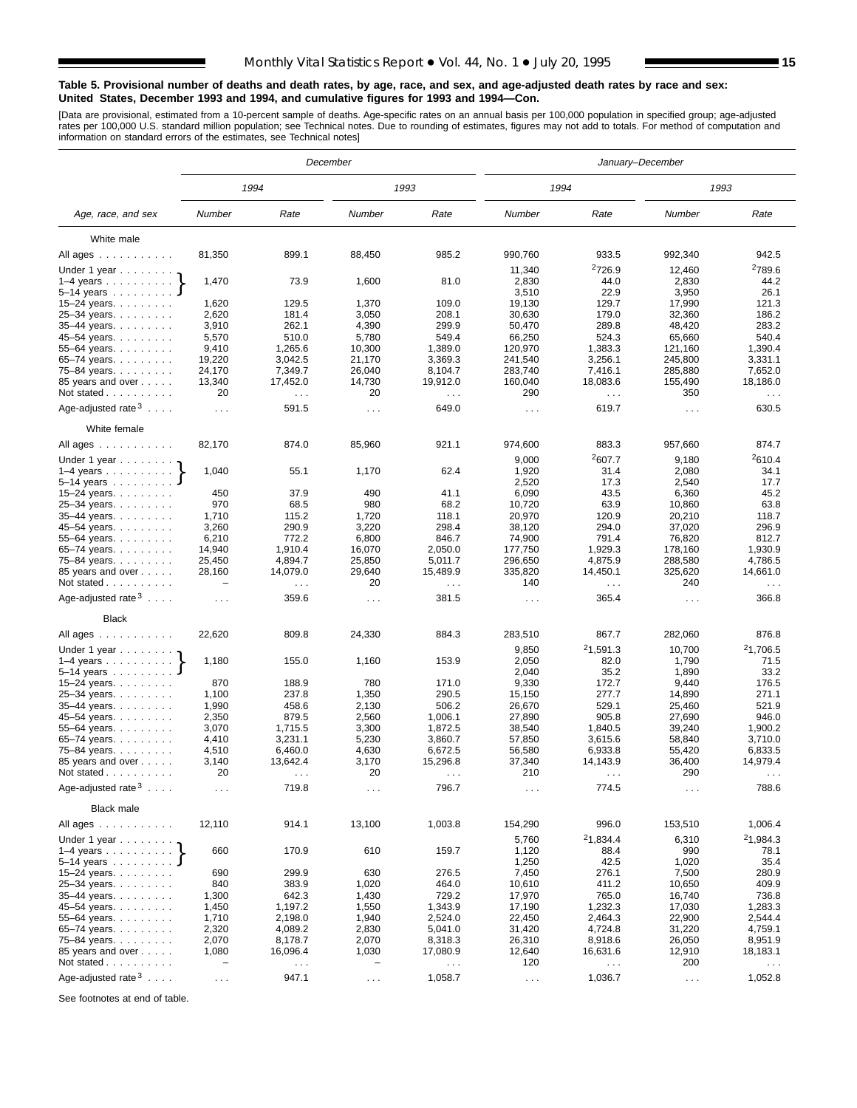#### **Table 5. Provisional number of deaths and death rates, by age, race, and sex, and age-adjusted death rates by race and sex: United States, December 1993 and 1994, and cumulative figures for 1993 and 1994—Con.**

[Data are provisional, estimated from a 10-percent sample of deaths. Age-specific rates on an annual basis per 100,000 population in specified group; age-adjusted<br>rates per 100,000 U.S. standard million population; see Tec

|                                                         |                             |                                  | December             |                           |                      | January-December            |                      |                                  |
|---------------------------------------------------------|-----------------------------|----------------------------------|----------------------|---------------------------|----------------------|-----------------------------|----------------------|----------------------------------|
|                                                         |                             | 1994                             |                      | 1993                      |                      | 1994                        |                      | 1993                             |
| Age, race, and sex                                      | Number                      | Rate                             | Number               | Rate                      | Number               | Rate                        | Number               | Rate                             |
| White male                                              |                             |                                  |                      |                           |                      |                             |                      |                                  |
| All ages                                                | 81,350                      | 899.1                            | 88,450               | 985.2                     | 990,760              | 933.5                       | 992,340              | 942.5                            |
|                                                         |                             |                                  |                      |                           | 11,340               | <sup>2</sup> 726.9          | 12,460               | <sup>2</sup> 789.6               |
| Under 1 year $\ldots \ldots$<br>$1-4$ years $\ldots$    | 1,470                       | 73.9                             | 1,600                | 81.0                      | 2,830                | 44.0                        | 2,830                | 44.2                             |
| 5–14 years $\dots \dots$                                |                             |                                  |                      |                           | 3,510                | 22.9                        | 3,950                | 26.1                             |
| 15-24 years.                                            | 1,620                       | 129.5                            | 1,370                | 109.0                     | 19,130               | 129.7                       | 17,990               | 121.3                            |
| 25-34 years.                                            | 2,620                       | 181.4                            | 3,050                | 208.1                     | 30,630               | 179.0                       | 32,360               | 186.2                            |
| 35-44 years                                             | 3,910                       | 262.1                            | 4,390                | 299.9                     | 50,470               | 289.8                       | 48,420               | 283.2                            |
| 45-54 years.                                            | 5,570                       | 510.0                            | 5,780                | 549.4                     | 66,250               | 524.3                       | 65,660               | 540.4                            |
| 55-64 years.                                            | 9,410                       | 1,265.6                          | 10,300               | 1,389.0                   | 120,970              | 1,383.3                     | 121,160              | 1,390.4                          |
| 65-74 years.                                            | 19,220                      | 3,042.5                          | 21,170               | 3,369.3                   | 241,540              | 3,256.1                     | 245,800              | 3,331.1                          |
| 75-84 years.                                            | 24,170                      | 7,349.7                          | 26,040<br>14,730     | 8,104.7                   | 283,740<br>160,040   | 7,416.1                     | 285,880<br>155,490   | 7,652.0<br>18,186.0              |
| 85 years and over<br>Not stated                         | 13,340<br>20                | 17,452.0                         | 20                   | 19,912.0                  | 290                  | 18,083.6                    | 350                  |                                  |
|                                                         |                             | $\sim$ $\sim$                    |                      | $\sim 100$                |                      | $\sim$ .                    |                      | $\sim$ $\sim$ $\sim$             |
| Age-adjusted rate $3 \ldots$ .                          | $\sim 10$                   | 591.5                            | $\sim$ $\sim$ $\sim$ | 649.0                     | $\sim 100$           | 619.7                       | $\sim$ $\sim$ $\sim$ | 630.5                            |
| White female                                            |                             |                                  |                      |                           |                      |                             |                      |                                  |
| All ages $\dots$ $\dots$ $\dots$ $\dots$                | 82,170                      | 874.0                            | 85,960               | 921.1                     | 974,600              | 883.3<br><sup>2</sup> 607.7 | 957,660              | 874.7<br><sup>2</sup> 610.4      |
| Under 1 year $\ldots \ldots$                            | 1,040                       | 55.1                             | 1,170                | 62.4                      | 9,000<br>1,920       | 31.4                        | 9,180<br>2,080       | 34.1                             |
| $1-4$ years<br>5-14 years $\ldots$                      |                             |                                  |                      |                           | 2,520                | 17.3                        | 2,540                | 17.7                             |
| 15–24 years. $\ldots$                                   | 450                         | 37.9                             | 490                  | 41.1                      | 6,090                | 43.5                        | 6,360                | 45.2                             |
| 25-34 years.                                            | 970                         | 68.5                             | 980                  | 68.2                      | 10.720               | 63.9                        | 10,860               | 63.8                             |
| 35-44 years.                                            | 1,710                       | 115.2                            | 1,720                | 118.1                     | 20,970               | 120.9                       | 20,210               | 118.7                            |
| 45–54 years.                                            | 3,260                       | 290.9                            | 3,220                | 298.4                     | 38,120               | 294.0                       | 37,020               | 296.9                            |
| 55-64 years.                                            | 6,210                       | 772.2                            | 6,800                | 846.7                     | 74,900               | 791.4                       | 76,820               | 812.7                            |
| 65-74 years.                                            | 14,940                      | 1,910.4                          | 16,070               | 2,050.0                   | 177,750              | 1,929.3                     | 178,160              | 1.930.9                          |
| 75-84 years.                                            | 25,450                      | 4,894.7                          | 25,850               | 5,011.7                   | 296,650              | 4,875.9                     | 288,580              | 4,786.5                          |
| 85 years and over<br>Not stated                         | 28,160<br>$\qquad \qquad -$ | 14,079.0<br>$\sim$ $\sim$ $\sim$ | 29,640<br>20         | 15,489.9<br>$\sim$ $\sim$ | 335,820<br>140       | 14,450.1<br>$\sim$ .        | 325,620<br>240       | 14,661.0<br>$\sim$ $\sim$ $\sim$ |
| Age-adjusted rate $3 \ldots$ .                          | $\cdots$                    | 359.6                            | $\cdots$             | 381.5                     | $\sim$ $\sim$        | 365.4                       | $\sim$ $\sim$        | 366.8                            |
| Black                                                   |                             |                                  |                      |                           |                      |                             |                      |                                  |
| All ages                                                | 22,620                      | 809.8                            | 24,330               | 884.3                     | 283,510              | 867.7                       | 282,060              | 876.8                            |
| Under 1 year                                            |                             |                                  |                      |                           | 9,850                | <sup>2</sup> 1,591.3        | 10,700               | <sup>2</sup> 1,706.5             |
| $1-4$ years                                             | 1,180                       | 155.0                            | 1,160                | 153.9                     | 2,050                | 82.0                        | 1,790                | 71.5                             |
| 5–14 years $\ldots$                                     |                             |                                  |                      |                           | 2,040                | 35.2                        | 1,890                | 33.2                             |
| 15-24 years.<br>25-34 years.                            | 870<br>1,100                | 188.9<br>237.8                   | 780<br>1,350         | 171.0<br>290.5            | 9,330<br>15,150      | 172.7<br>277.7              | 9,440<br>14,890      | 176.5<br>271.1                   |
| 35-44 years.                                            | 1,990                       | 458.6                            | 2,130                | 506.2                     | 26,670               | 529.1                       | 25,460               | 521.9                            |
| 45-54 years.                                            | 2,350                       | 879.5                            | 2,560                | 1,006.1                   | 27,890               | 905.8                       | 27,690               | 946.0                            |
| 55-64 years.                                            | 3,070                       | 1,715.5                          | 3,300                | 1,872.5                   | 38,540               | 1,840.5                     | 39,240               | 1,900.2                          |
| 65-74 years. $\ldots$                                   | 4,410                       | 3,231.1                          | 5,230                | 3,860.7                   | 57,850               | 3,615.6                     | 58,840               | 3,710.0                          |
| 75-84 years.                                            | 4,510                       | 6,460.0                          | 4,630                | 6,672.5                   | 56,580               | 6,933.8                     | 55,420               | 6,833.5                          |
| 85 years and over                                       | 3,140                       | 13,642.4                         | 3,170                | 15,296.8                  | 37,340               | 14,143.9                    | 36,400               | 14,979.4                         |
| Not stated<br>Age-adjusted rate $3 \ldots$              | 20                          | $\sim$ $\sim$                    | 20                   | $\sim$ $\sim$             | 210                  | $\sim$ $\sim$               | 290                  | $\sim$ $\sim$ $\sim$             |
|                                                         | $\sim$ $\sim$ $\sim$        | 719.8                            | $\cdots$             | 796.7                     | $\sim$               | 774.5                       | $\sim$ $\sim$        | 788.6                            |
| <b>Black male</b>                                       | 12,110                      | 914.1                            | 13,100               | 1,003.8                   | 154,290              | 996.0                       | 153,510              | 1,006.4                          |
| All ages                                                |                             |                                  |                      |                           | 5,760                | <sup>2</sup> 1,834.4        | 6,310                | 21,984.3                         |
| Under 1 year 1–4 years 1<br>5–14 years $\dots$ <b>J</b> | 660                         | 170.9                            | 610                  | 159.7                     | 1,120<br>1,250       | 88.4<br>42.5                | 990<br>1,020         | 78.1<br>35.4                     |
| 15-24 years.                                            | 690                         | 299.9                            | 630                  | 276.5                     | 7,450                | 276.1                       | 7,500                | 280.9                            |
| 25-34 years.                                            | 840                         | 383.9                            | 1,020                | 464.0                     | 10,610               | 411.2                       | 10,650               | 409.9                            |
| 35-44 years.                                            | 1,300                       | 642.3                            | 1,430                | 729.2                     | 17,970               | 765.0                       | 16,740               | 736.8                            |
| 45-54 years.                                            | 1,450                       | 1,197.2                          | 1,550                | 1,343.9                   | 17,190               | 1,232.3                     | 17,030               | 1,283.3                          |
| 55–64 years. $\ldots$                                   | 1,710                       | 2,198.0                          | 1,940                | 2,524.0                   | 22,450               | 2,464.3                     | 22,900               | 2,544.4                          |
| 65-74 years.                                            | 2,320                       | 4,089.2                          | 2,830                | 5,041.0                   | 31,420               | 4,724.8                     | 31,220               | 4,759.1                          |
| 75-84 years.                                            | 2,070                       | 8,178.7                          | 2,070                | 8,318.3                   | 26,310               | 8,918.6                     | 26,050               | 8,951.9                          |
| 85 years and over                                       | 1,080                       | 16,096.4                         | 1,030                | 17,080.9                  | 12,640               | 16,631.6                    | 12,910               | 18,183.1                         |
| Not stated $\ldots$                                     | $\qquad \qquad -$           | $\sim$ $\sim$ $\sim$             | -                    | $\sim$ $\sim$ $\sim$      | 120                  | $\sim$ $\sim$               | 200                  | $\epsilon$ .                     |
| Age-adjusted rate $3 \ldots$ .                          | $\sim$ $\sim$               | 947.1                            | $\sim 100$           | 1,058.7                   | $\sim$ $\sim$ $\sim$ | 1,036.7                     | $\sim$ $\sim$        | 1,052.8                          |

See footnotes at end of table.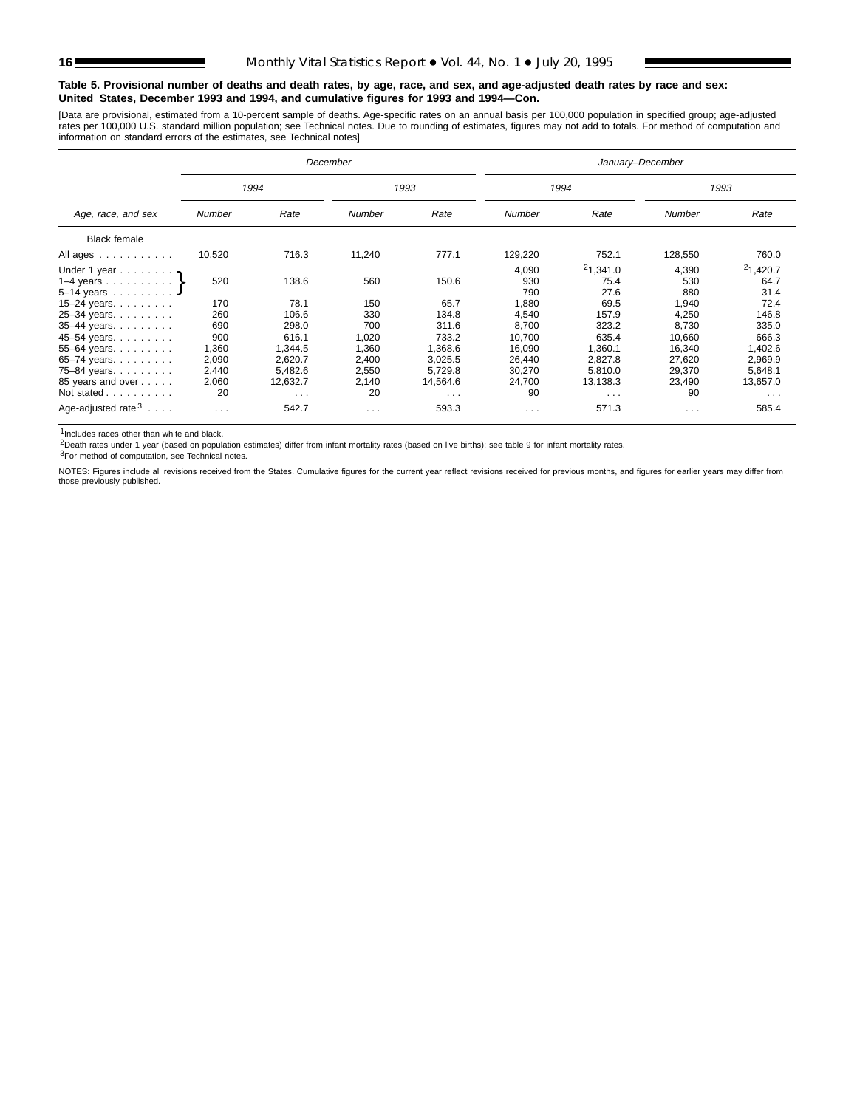#### **Table 5. Provisional number of deaths and death rates, by age, race, and sex, and age-adjusted death rates by race and sex: United States, December 1993 and 1994, and cumulative figures for 1993 and 1994—Con.**

[Data are provisional, estimated from a 10-percent sample of deaths. Age-specific rates on an annual basis per 100,000 population in specified group; age-adjusted<br>rates per 100,000 U.S. standard million population; see Tec

|                                  |          |                      | December                | January-December     |                      |                      |          |                      |
|----------------------------------|----------|----------------------|-------------------------|----------------------|----------------------|----------------------|----------|----------------------|
|                                  | 1994     |                      |                         | 1993                 |                      | 1994                 |          | 1993                 |
| Age, race, and sex               | Number   | Rate                 | Number                  | Rate                 | Number               | Rate                 | Number   | Rate                 |
| <b>Black female</b>              |          |                      |                         |                      |                      |                      |          |                      |
| All ages                         | 10,520   | 716.3                | 11,240                  | 777.1                | 129,220              | 752.1                | 128,550  | 760.0                |
| Under 1 year $\gamma$            |          |                      |                         |                      | 4.090                | 21,341.0             | 4.390    | 21,420.7             |
| 1–4 years $\ldots$ $\ldots$ $\}$ | 520      | 138.6                | 560                     | 150.6                | 930                  | 75.4                 | 530      | 64.7                 |
| $5-14$ years J                   |          |                      |                         |                      | 790                  | 27.6                 | 880      | 31.4                 |
| 15-24 years. $\ldots$            | 170      | 78.1                 | 150                     | 65.7                 | 1,880                | 69.5                 | 1,940    | 72.4                 |
| 25-34 years.                     | 260      | 106.6                | 330                     | 134.8                | 4,540                | 157.9                | 4,250    | 146.8                |
| $35 - 44$ years.                 | 690      | 298.0                | 700                     | 311.6                | 8,700                | 323.2                | 8,730    | 335.0                |
| 45-54 years.                     | 900      | 616.1                | 1,020                   | 733.2                | 10,700               | 635.4                | 10,660   | 666.3                |
| 55-64 years.                     | 1,360    | 1,344.5              | 1,360                   | 1,368.6              | 16,090               | 1,360.1              | 16,340   | 1,402.6              |
| 65-74 years. $\ldots$            | 2,090    | 2,620.7              | 2,400                   | 3,025.5              | 26,440               | 2,827.8              | 27,620   | 2,969.9              |
| 75-84 years.                     | 2,440    | 5.482.6              | 2,550                   | 5,729.8              | 30,270               | 5.810.0              | 29,370   | 5,648.1              |
| 85 years and over                | 2,060    | 12,632.7             | 2,140                   | 14,564.6             | 24,700               | 13,138.3             | 23,490   | 13,657.0             |
| Not stated                       | 20       | $\sim$ $\sim$ $\sim$ | 20                      | $\sim$ $\sim$ $\sim$ | 90                   | $\sim$ $\sim$ $\sim$ | 90       | $\sim$ $\sim$ $\sim$ |
| Age-adjusted rate $3 \ldots$ .   | $\cdots$ | 542.7                | $\cdot$ $\cdot$ $\cdot$ | 593.3                | $\sim$ $\sim$ $\sim$ | 571.3                | $\cdots$ | 585.4                |

1Includes races other than white and black.

2Death rates under 1 year (based on population estimates) differ from infant mortality rates (based on live births); see table 9 for infant mortality rates.

3For method of computation, see Technical notes.

NOTES: Figures include all revisions received from the States. Cumulative figures for the current year reflect revisions received for previous months, and figures for earlier years may differ from those previously published.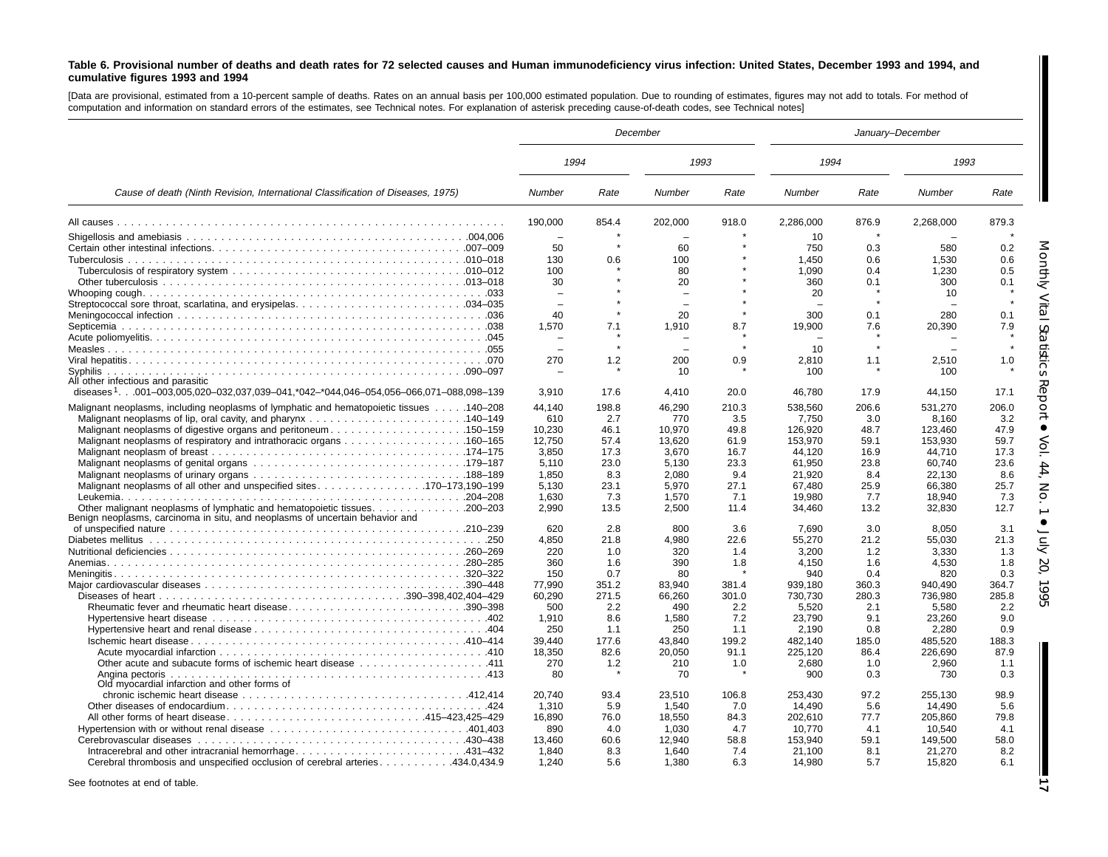#### Table 6. Provisional number of deaths and death rates for 72 selected causes and Human immunodeficiency virus infection: United States, December 1993 and 1994, and **cumulative figures 1993 and 1994**

[Data are provisional, estimated from <sup>a</sup> 10-percent sample of deaths. Rates on an annual basis per 100,000 estimated population. Due to rounding of estimates, figures may not add to totals. For method of computation and information on standard errors of the estimates, see Technical notes. For explanation of asterisk preceding cause-of-death codes, see Technical notes]

|                                                                                                 | December         |               |                  |               |                    |               | January-December   |               |
|-------------------------------------------------------------------------------------------------|------------------|---------------|------------------|---------------|--------------------|---------------|--------------------|---------------|
|                                                                                                 | 1994             |               | 1993             |               | 1994               |               | 1993               |               |
| Cause of death (Ninth Revision, International Classification of Diseases, 1975)                 | Number           | Rate          | Number           | Rate          | Number             | Rate          | Number             | Rate          |
|                                                                                                 | 190,000          | 854.4         | 202,000          | 918.0         | 2,286,000          | 876.9         | 2,268,000          | 879.3         |
|                                                                                                 | ÷                |               |                  |               | 10                 |               |                    |               |
|                                                                                                 | 50               |               | 60               |               | 750                | 0.3           | 580                | 0.2           |
|                                                                                                 | 130              | 0.6           | 100              |               | 1,450              | 0.6           | 1,530              | 0.6           |
|                                                                                                 | 100              |               | 80               |               | 1.090              | 0.4           | 1.230              | 0.5           |
|                                                                                                 | 30               |               | 20               |               | 360                | 0.1           | 300                | 0.1           |
|                                                                                                 |                  |               |                  |               | 20                 |               | 10                 |               |
|                                                                                                 |                  |               |                  |               |                    |               |                    |               |
|                                                                                                 | 40               |               | 20               |               | 300                | 0.1           | 280                | 0.1           |
|                                                                                                 | 1.570            | 7.1           | 1,910            | 8.7           | 19,900             | 7.6           | 20.390             | 7.9           |
|                                                                                                 |                  |               |                  |               |                    |               |                    |               |
|                                                                                                 |                  |               |                  |               | 10                 |               |                    |               |
| Syphilis                                                                                        | 270              | 1.2           | 200<br>10        | 0.9           | 2,810<br>100       | 1.1           | 2,510<br>100       | 1.0           |
| All other infectious and parasitic                                                              |                  |               |                  |               |                    |               |                    |               |
| diseases <sup>1</sup> 001-003,005,020-032,037,039-041,*042-*044,046-054,056-066,071-088,098-139 | 3,910            | 17.6          | 4,410            | 20.0          | 46,780             | 17.9          | 44,150             | 17.1          |
|                                                                                                 |                  |               |                  |               |                    |               |                    |               |
| Malignant neoplasms, including neoplasms of lymphatic and hematopoietic tissues 140–208         | 44,140           | 198.8         | 46,290           | 210.3         | 538,560            | 206.6         | 531,270            | 206.0         |
|                                                                                                 | 610              | 2.7           | 770              | 3.5           | 7,750              | 3.0           | 8.160              | 3.2           |
|                                                                                                 | 10,230<br>12.750 | 46.1<br>57.4  | 10,970<br>13,620 | 49.8<br>61.9  | 126,920<br>153.970 | 48.7<br>59.1  | 123,460<br>153.930 | 47.9<br>59.7  |
|                                                                                                 | 3.850            | 17.3          | 3.670            | 16.7          | 44.120             | 16.9          | 44.710             | 17.3          |
|                                                                                                 | 5,110            | 23.0          | 5,130            | 23.3          | 61,950             | 23.8          | 60,740             | 23.6          |
|                                                                                                 | 1,850            | 8.3           | 2,080            | 9.4           | 21,920             | 8.4           | 22.130             | 8.6           |
|                                                                                                 | 5,130            | 23.1          | 5,970            | 27.1          | 67,480             | 25.9          | 66,380             | 25.7          |
|                                                                                                 | 1.630            | 7.3           | 1.570            | 7.1           | 19.980             | 7.7           | 18.940             | 7.3           |
| Benign neoplasms, carcinoma in situ, and neoplasms of uncertain behavior and                    | 2.990            | 13.5          | 2,500            | 11.4          | 34,460             | 13.2          | 32,830             | 12.7          |
|                                                                                                 | 620              | 2.8           | 800              | 3.6           | 7,690              | 3.0           | 8,050              | 3.1           |
|                                                                                                 | 4.850            | 21.8          | 4,980            | 22.6          | 55.270             | 21.2          | 55.030             | 21.3          |
|                                                                                                 | 220              | 1.0           | 320              | 1.4           | 3.200              | 1.2           | 3.330              | 1.3           |
|                                                                                                 | 360              | 1.6           | 390              | 1.8           | 4.150              | 1.6           | 4,530              | 1.8           |
|                                                                                                 | 150              | 0.7           | 80               |               | 940                | 0.4           | 820                | 0.3           |
|                                                                                                 | 77,990           | 351.2         | 83,940           | 381.4         | 939,180            | 360.3         | 940,490            | 364.7         |
|                                                                                                 | 60.290           | 271.5         | 66.260           | 301.0         | 730.730            | 280.3         | 736.980            | 285.8         |
| Rheumatic fever and rheumatic heart disease390–398                                              | 500              | 2.2           | 490              | 2.2           | 5,520              | 2.1           | 5,580              | 2.2           |
|                                                                                                 | 1,910            | 8.6           | 1,580            | 7.2           | 23,790             | 9.1           | 23,260             | 9.0           |
|                                                                                                 | 250              | 1.1           | 250              | 1.1           | 2,190              | 0.8           | 2,280              | 0.9           |
|                                                                                                 | 39.440<br>18,350 | 177.6<br>82.6 | 43.840<br>20,050 | 199.2<br>91.1 | 482.140<br>225.120 | 185.0<br>86.4 | 485.520<br>226.690 | 188.3<br>87.9 |
|                                                                                                 | 270              | 1.2           | 210              | 1.0           | 2,680              | 1.0           | 2,960              | 1.1           |
|                                                                                                 | 80               |               | 70               |               | 900                | 0.3           | 730                | 0.3           |
| Old myocardial infarction and other forms of                                                    |                  |               |                  |               |                    |               |                    |               |
|                                                                                                 | 20.740           | 93.4          | 23.510           | 106.8         | 253.430            | 97.2          | 255.130            | 98.9          |
|                                                                                                 | 1,310            | 5.9           | 1,540            | 7.0           | 14,490             | 5.6           | 14.490             | 5.6           |
| All other forms of heart disease415–423,425–429                                                 | 16,890           | 76.0          | 18,550           | 84.3          | 202,610            | 77.7          | 205,860            | 79.8          |
|                                                                                                 | 890              | 4.0           | 1,030            | 4.7           | 10,770             | 4.1           | 10,540             | 4.1           |
|                                                                                                 | 13.460           | 60.6          | 12.940           | 58.8          | 153.940            | 59.1          | 149.500            | 58.0          |
| Intracerebral and other intracranial hemorrhage431-432                                          | 1.840            | 8.3           | 1.640            | 7.4           | 21.100             | 8.1           | 21,270             | 8.2           |
| Cerebral thrombosis and unspecified occlusion of cerebral arteries 434.0,434.9                  | 1.240            | 5.6           | 1.380            | 6.3           | 14,980             | 5.7           | 15.820             | 6.1           |

See footnotes at end of table.

**17**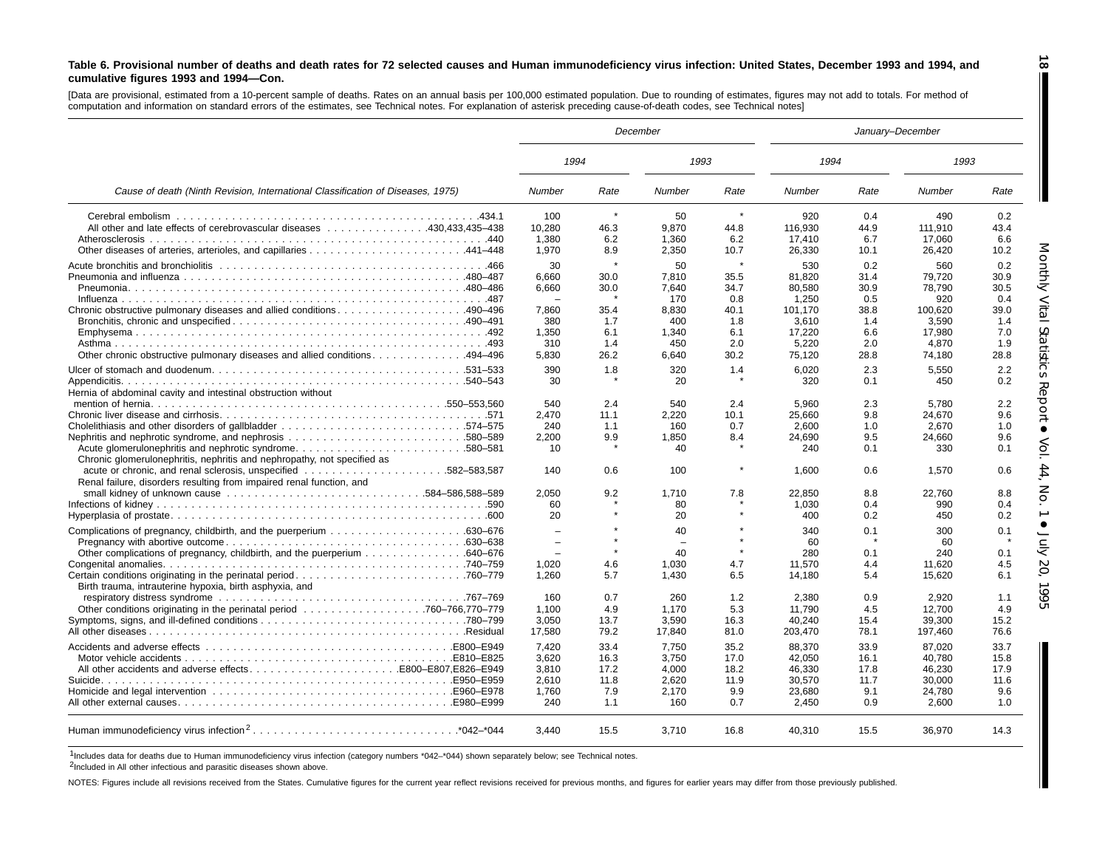#### Table 6. Provisional number of deaths and death rates for 72 selected causes and Human immunodeficiency virus infection: United States, December 1993 and 1994, and **cumulative figures 1993 and 1994—Con.**

[Data are provisional, estimated from a 10-percent sample of deaths. Rates on an annual basis per 100,000 estimated population. Due to rounding of estimates, figures may not add to totals. For method of computation and information on standard errors of the estimates, see Technical notes. For explanation of asterisk preceding cause-of-death codes, see Technical notes]

|                                                                                                                                   |        |         | December      |         |         | January-December |         |      |
|-----------------------------------------------------------------------------------------------------------------------------------|--------|---------|---------------|---------|---------|------------------|---------|------|
|                                                                                                                                   | 1994   |         | 1993          |         | 1994    |                  | 1993    |      |
| Cause of death (Ninth Revision, International Classification of Diseases, 1975)                                                   | Number | Rate    | <b>Number</b> | Rate    | Number  | Rate             | Number  | Rate |
|                                                                                                                                   | 100    | $\star$ | 50            | $\star$ | 920     | 0.4              | 490     | 0.2  |
| All other and late effects of cerebrovascular diseases 430.433.435–438                                                            | 10.280 | 46.3    | 9.870         | 44.8    | 116.930 | 44.9             | 111.910 | 43.4 |
|                                                                                                                                   | 1,380  | 6.2     | 1,360         | 6.2     | 17,410  | 6.7              | 17,060  | 6.6  |
|                                                                                                                                   | 1,970  | 8.9     | 2,350         | 10.7    | 26,330  | 10.1             | 26,420  | 10.2 |
|                                                                                                                                   | 30     |         | 50            |         | 530     | 0.2              | 560     | 0.2  |
|                                                                                                                                   | 6.660  | 30.0    | 7.810         | 35.5    | 81,820  | 31.4             | 79,720  | 30.9 |
|                                                                                                                                   | 6,660  | 30.0    | 7.640         | 34.7    | 80,580  | 30.9             | 78,790  | 30.5 |
|                                                                                                                                   |        |         | 170           | 0.8     | 1,250   | 0.5              | 920     | 0.4  |
|                                                                                                                                   | 7.860  | 35.4    | 8.830         | 40.1    | 101.170 | 38.8             | 100.620 | 39.0 |
|                                                                                                                                   | 380    | 1.7     | 400           | 1.8     | 3.610   | 1.4              | 3.590   | 1.4  |
|                                                                                                                                   | 1,350  | 6.1     | 1,340         | 6.1     | 17,220  | 6.6              | 17,980  | 7.0  |
|                                                                                                                                   | 310    | 1.4     | 450           | 2.0     | 5,220   | 2.0              | 4.870   | 1.9  |
|                                                                                                                                   | 5.830  |         |               | 30.2    |         |                  |         |      |
| 0ther chronic obstructive pulmonary diseases and allied conditions494–496                                                         |        | 26.2    | 6.640         |         | 75,120  | 28.8             | 74,180  | 28.8 |
|                                                                                                                                   | 390    | 1.8     | 320           | 1.4     | 6.020   | 2.3              | 5.550   | 2.2  |
|                                                                                                                                   | 30     |         | 20            |         | 320     | 0.1              | 450     | 0.2  |
| Hernia of abdominal cavity and intestinal obstruction without                                                                     |        |         |               |         |         |                  |         |      |
|                                                                                                                                   | 540    | 2.4     | 540           | 2.4     | 5.960   | 2.3              | 5.780   | 2.2  |
|                                                                                                                                   | 2.470  | 11.1    | 2.220         | 10.1    | 25.660  | 9.8              | 24.670  | 9.6  |
|                                                                                                                                   | 240    | 1.1     | 160           | 0.7     | 2,600   | 1.0              | 2,670   | 1.0  |
|                                                                                                                                   | 2,200  | 9.9     | 1.850         | 8.4     | 24,690  | 9.5              | 24,660  | 9.6  |
| Acute glomerulonephritis and nephrotic syndrome580–581<br>Chronic glomerulonephritis, nephritis and nephropathy, not specified as | 10     |         | 40            |         | 240     | 0.1              | 330     | 0.1  |
| Renal failure, disorders resulting from impaired renal function, and                                                              | 140    | 0.6     | 100           |         | 1,600   | 0.6              | 1,570   | 0.6  |
|                                                                                                                                   | 2,050  | 9.2     | 1,710         | 7.8     | 22,850  | 8.8              | 22,760  | 8.8  |
|                                                                                                                                   | 60     |         | 80            |         | 1.030   | 0.4              | 990     | 0.4  |
|                                                                                                                                   | 20     |         | 20            |         | 400     | 0.2              | 450     | 0.2  |
|                                                                                                                                   |        |         |               |         |         |                  |         |      |
|                                                                                                                                   |        |         | 40            |         | 340     | 0.1              | 300     | 0.1  |
|                                                                                                                                   |        | $\star$ |               |         | 60      |                  | 60      |      |
|                                                                                                                                   |        |         | 40            |         | 280     | 0.1              | 240     | 0.1  |
|                                                                                                                                   | 1.020  | 4.6     | 1.030         | 4.7     | 11.570  | 4.4              | 11.620  | 4.5  |
| Birth trauma, intrauterine hypoxia, birth asphyxia, and                                                                           | 1.260  | 5.7     | 1,430         | 6.5     | 14,180  | 5.4              | 15,620  | 6.1  |
|                                                                                                                                   | 160    | 0.7     | 260           | 1.2     | 2.380   | 0.9              | 2.920   | 1.1  |
|                                                                                                                                   | 1,100  | 4.9     | 1.170         | 5.3     | 11,790  | 4.5              | 12,700  | 4.9  |
|                                                                                                                                   | 3,050  | 13.7    | 3,590         | 16.3    | 40,240  | 15.4             | 39,300  | 15.2 |
|                                                                                                                                   | 17,580 | 79.2    | 17,840        | 81.0    | 203,470 | 78.1             | 197,460 | 76.6 |
|                                                                                                                                   | 7.420  | 33.4    | 7.750         | 35.2    | 88.370  | 33.9             | 87.020  | 33.7 |
| E810-E825                                                                                                                         | 3,620  | 16.3    | 3.750         | 17.0    | 42,050  | 16.1             | 40,780  | 15.8 |
| All other accidents and adverse effectsB800-E807.E826-E949                                                                        | 3,810  | 17.2    | 4.000         | 18.2    | 46.330  | 17.8             | 46,230  | 17.9 |
|                                                                                                                                   | 2.610  | 11.8    | 2.620         | 11.9    | 30,570  | 11.7             | 30.000  | 11.6 |
|                                                                                                                                   | 1,760  | 7.9     | 2.170         | 9.9     | 23,680  | 9.1              | 24,780  | 9.6  |
|                                                                                                                                   | 240    | 1.1     | 160           | 0.7     | 2.450   | 0.9              | 2,600   | 1.0  |
|                                                                                                                                   |        |         |               |         |         |                  |         |      |
|                                                                                                                                   | 3,440  | 15.5    | 3,710         | 16.8    | 40,310  | 15.5             | 36,970  | 14.3 |

1Includes data for deaths due to Human immunodeficiency virus infection (category numbers \*042–\*044) shown separately below; see Technical notes.

2Included in All other infectious and parasitic diseases shown above.

NOTES: Figures include all revisions received from the States. Cumulative figures for the current year reflect revisions received for previous months, and figures for earlier years may differ from those previously publishe

Monthly Vital

Statistics

 Report  $\bullet$ 

Vol. 44, No. 1 •

July 20, 1995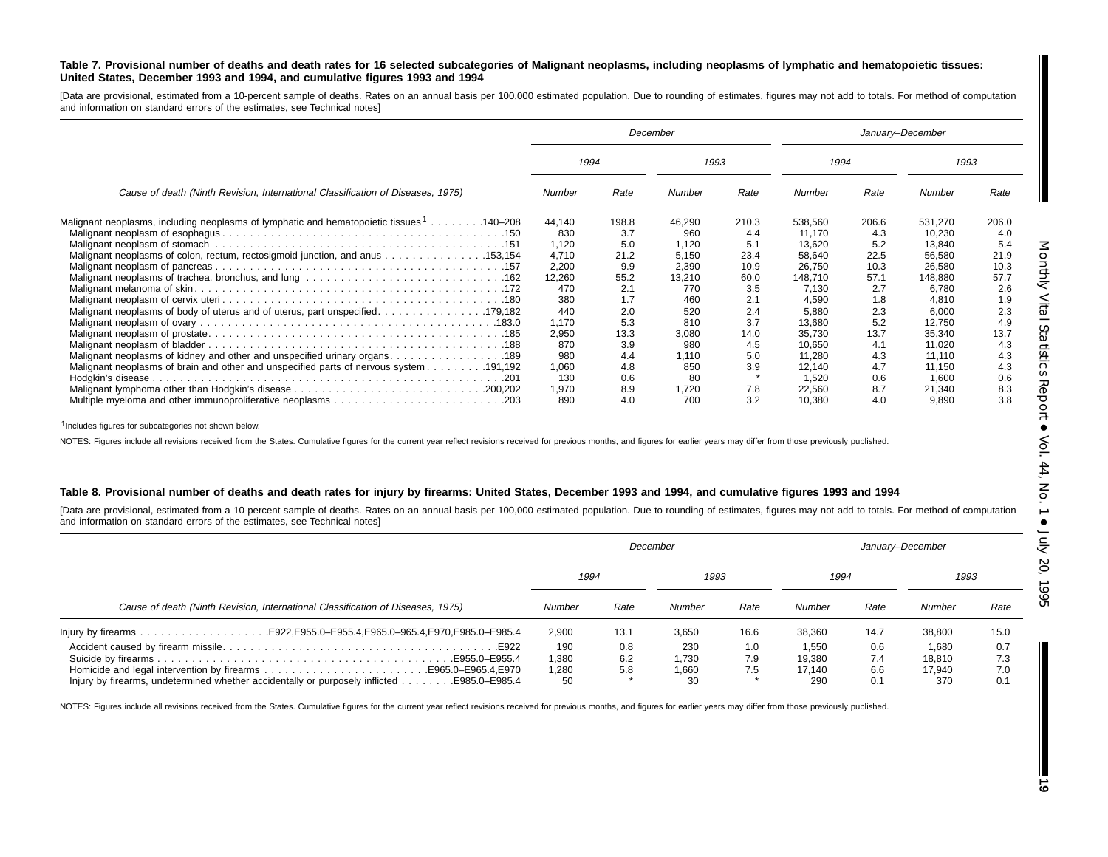#### Table 7. Provisional number of deaths and death rates for 16 selected subcategories of Malignant neoplasms, including neoplasms of lymphatic and hematopoietic tissues: United States, December 1993 and 1994, and cumulative figures 1993 and 1994

[Data are provisional, estimated from a 10-percent sample of deaths. Rates on an annual basis per 100,000 estimated population. Due to rounding of estimates, figures may not add to totals. For method of computation and information on standard errors of the estimates, see Technical notes]

|                                                                                                      | December     |       |        |       |         | January-December |         |       |  |
|------------------------------------------------------------------------------------------------------|--------------|-------|--------|-------|---------|------------------|---------|-------|--|
|                                                                                                      | 1994<br>1993 |       |        |       | 1994    |                  | 1993    |       |  |
| Cause of death (Ninth Revision, International Classification of Diseases, 1975)                      | Number       | Rate  | Number | Rate  | Number  | Rate             | Number  | Rate  |  |
| Malignant neoplasms, including neoplasms of lymphatic and hematopoietic tissues <sup>1</sup> 140–208 | 44,140       | 198.8 | 46,290 | 210.3 | 538,560 | 206.6            | 531,270 | 206.0 |  |
|                                                                                                      | 830          | 3.7   | 960    | 4.4   | 11.170  | 4.3              | 10,230  | 4.0   |  |
|                                                                                                      | 1,120        | 5.0   | 1,120  | 5.1   | 13.620  | 5.2              | 13,840  | 5.4   |  |
| Malignant neoplasms of colon, rectum, rectosigmoid junction, and anus 153,154                        | 4,710        | 21.2  | 5.150  | 23.4  | 58.640  | 22.5             | 56,580  | 21.9  |  |
|                                                                                                      | 2,200        | 9.9   | 2,390  | 10.9  | 26,750  | 10.3             | 26,580  | 10.3  |  |
|                                                                                                      | 12,260       | 55.2  | 13.210 | 60.0  | 148.710 | 57.1             | 148,880 | 57.7  |  |
|                                                                                                      | 470          | 2.1   | 770    | 3.5   | 7,130   | 2.7              | 6,780   | 2.6   |  |
|                                                                                                      | 380          | 1.7   | 460    | 2.1   | 4.590   | 1.8              | 4.810   | 1.9   |  |
|                                                                                                      | 440          | 2.0   | 520    | 2.4   | 5,880   | 2.3              | 6,000   | 2.3   |  |
|                                                                                                      | 1,170        | 5.3   | 810    | 3.7   | 13.680  | 5.2              | 12,750  | 4.9   |  |
|                                                                                                      | 2,950        | 13.3  | 3,080  | 14.0  | 35,730  | 13.7             | 35,340  | 13.7  |  |
|                                                                                                      | 870          | 3.9   | 980    | 4.5   | 10.650  | 4.1              | 11,020  | 4.3   |  |
|                                                                                                      | 980          | 4.4   | 1,110  | 5.0   | 11.280  | 4.3              | 11,110  | 4.3   |  |
| 191,192. Malignant neoplasms of brain and other and unspecified parts of nervous system 191,192      | 1,060        | 4.8   | 850    | 3.9   | 12,140  | 4.7              | 11,150  | 4.3   |  |
|                                                                                                      | 130          | 0.6   | 80     |       | 1.520   | 0.6              | 1.600   | 0.6   |  |
|                                                                                                      | 1,970        | 8.9   | 1,720  | 7.8   | 22,560  | 8.7              | 21,340  | 8.3   |  |
|                                                                                                      | 890          | 4.0   | 700    | 3.2   | 10.380  | 4.0              | 9,890   | 3.8   |  |

1Includes figures for subcategories not shown below.

NOTES: Figures include all revisions received from the States. Cumulative figures for the current year reflect revisions received for previous months, and figures for earlier years may differ from those previously publishe

#### Table 8. Provisional number of deaths and death rates for injury by firearms: United States, December 1993 and 1994, and cumulative figures 1993 and 1994

[Data are provisional, estimated from a 10-percent sample of deaths. Rates on an annual basis per 100,000 estimated population. Due to rounding of estimates, figures may not add to totals. For method of computation and information on standard errors of the estimates, see Technical notes]

|                                                                                 | December |      |        |      | January-December |      |        |      |  |
|---------------------------------------------------------------------------------|----------|------|--------|------|------------------|------|--------|------|--|
|                                                                                 | 1994     |      |        | 1993 |                  | 1994 |        | 1993 |  |
| Cause of death (Ninth Revision, International Classification of Diseases, 1975) | Number   | Rate | Number | Rate | Number           | Rate | Number | Rate |  |
|                                                                                 | 2.900    | 13.1 | 3.650  | 16.6 | 38,360           | 14.7 | 38,800 | 15.0 |  |
|                                                                                 | 190      | 0.8  | 230    | 1.0  | 1,550            | 0.6  | 1,680  | 0.7  |  |
|                                                                                 | 1,380    | 6.2  | 1.730  | 7.9  | 19,380           | 7.4  | 18.810 | 7.3  |  |
|                                                                                 | 1,280    | 5.8  | 1,660  | 7.5  | 17.140           | 6.6  | 17.940 | 7.0  |  |
|                                                                                 | 50       |      | 30     |      | 290              | 0.1  | 370    | 0.1  |  |

NOTES: Figures include all revisions received from the States. Cumulative figures for the current year reflect revisions received for previous months, and figures for earlier years may differ from those previously publishe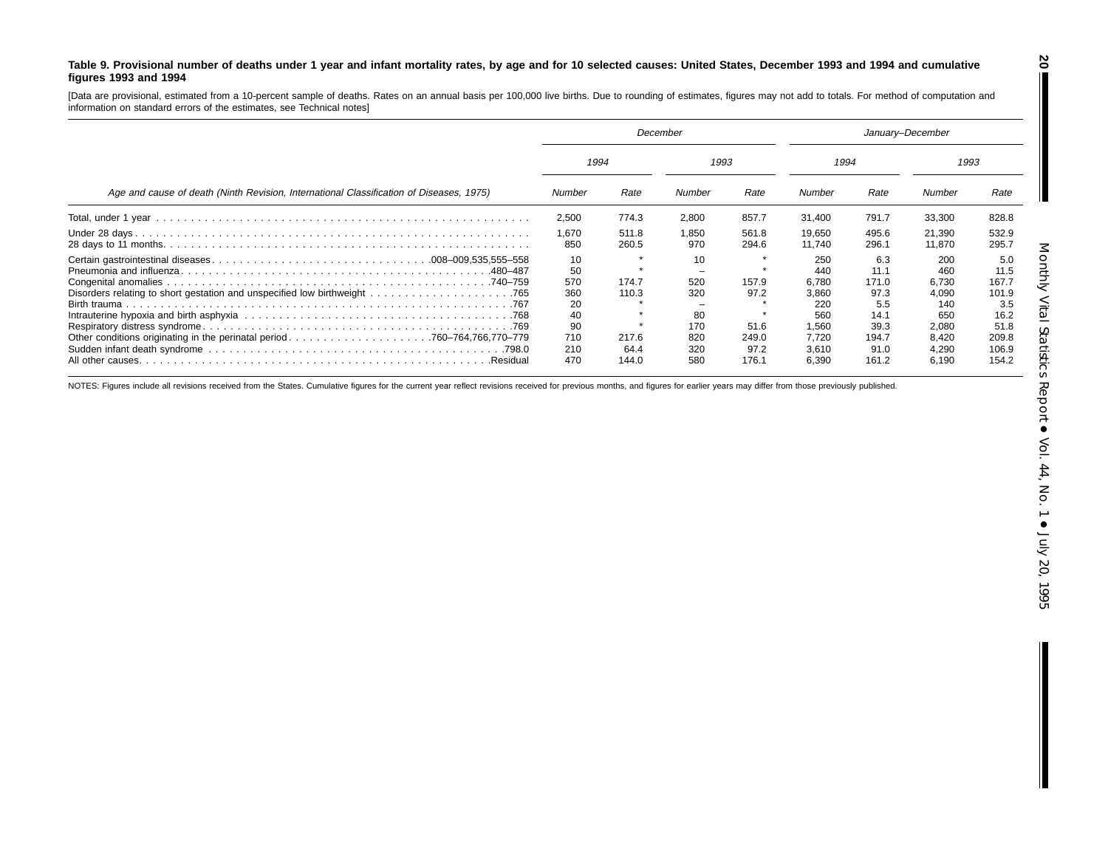#### Table 9. Provisional number of deaths under 1 year and infant mortality rates, by age and for 10 selected causes: United States, December 1993 and 1994 and cumulative **figures 1993 and 1994**

[Data are provisional, estimated from <sup>a</sup> 10-percent sample of deaths. Rates on an annual basis per 100,000 live births. Due to rounding of estimates, figures may not add to totals. For method of computation and information on standard errors of the estimates, see Technical notes]

|                                                                                         | December                                 |                        |                               |                        | January-December                                    |                                                     |                                                     |                                                      |
|-----------------------------------------------------------------------------------------|------------------------------------------|------------------------|-------------------------------|------------------------|-----------------------------------------------------|-----------------------------------------------------|-----------------------------------------------------|------------------------------------------------------|
|                                                                                         | 1994<br>1993                             |                        |                               |                        | 1994                                                |                                                     | 1993                                                |                                                      |
| Age and cause of death (Ninth Revision, International Classification of Diseases, 1975) | Number                                   | Rate                   | Number                        | Rate                   | Number                                              | Rate                                                | Number                                              | Rate                                                 |
|                                                                                         | 2,500                                    | 774.3                  | 2,800                         | 857.7                  | 31.400                                              | 791.7                                               | 33,300                                              | 828.8                                                |
|                                                                                         | 1.670<br>850                             | 511.8<br>260.5         | 1.850<br>970                  | 561.8<br>294.6         | 19.650<br>11.740                                    | 495.6<br>296.1                                      | 21,390<br>11,870                                    | 532.9<br>295.7                                       |
|                                                                                         | 10<br>50<br>570<br>360<br>20<br>40<br>90 | 174.7<br>110.3         | 10<br>520<br>320<br>80<br>170 | 157.9<br>97.2<br>51.6  | 250<br>440<br>6.780<br>3,860<br>220<br>560<br>1.560 | 6.3<br>11.1<br>171.0<br>97.3<br>5.5<br>14.1<br>39.3 | 200<br>460<br>6.730<br>4,090<br>140<br>650<br>2,080 | 5.0<br>11.5<br>167.7<br>101.9<br>3.5<br>16.2<br>51.8 |
| .Residual                                                                               | 710<br>210<br>470                        | 217.6<br>64.4<br>144.0 | 820<br>320<br>580             | 249.0<br>97.2<br>176.1 | 7.720<br>3.610<br>6.390                             | 194.7<br>91.0<br>161.2                              | 8,420<br>4,290<br>6.190                             | 209.8<br>106.9<br>154.2                              |

NOTES: Figures include all revisions received from the States. Cumulative figures for the current year reflect revisions received for previous months, and figures for earlier years may differ from those previously publishe

**20**

H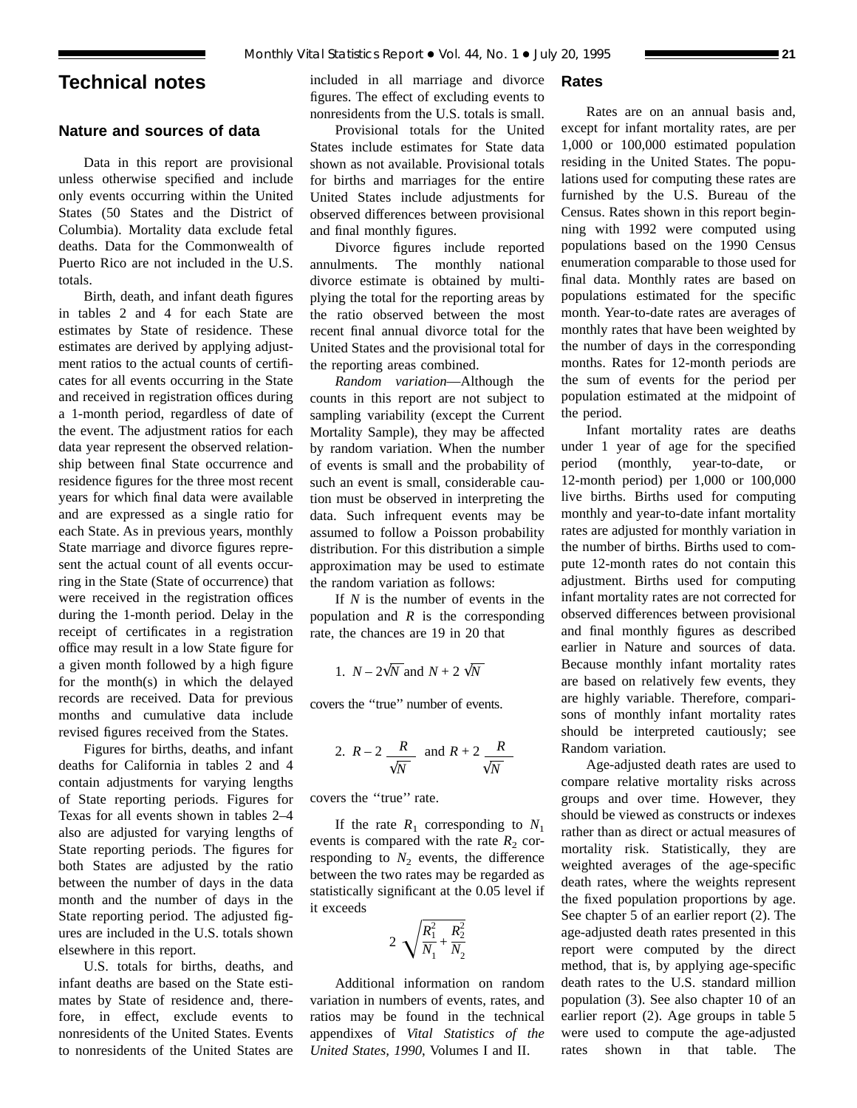## **Technical notes**

## **Nature and sources of data**

Data in this report are provisional unless otherwise specified and include only events occurring within the United States (50 States and the District of Columbia). Mortality data exclude fetal deaths. Data for the Commonwealth of Puerto Rico are not included in the U.S. totals.

Birth, death, and infant death figures in tables 2 and 4 for each State are estimates by State of residence. These estimates are derived by applying adjustment ratios to the actual counts of certificates for all events occurring in the State and received in registration offices during a 1-month period, regardless of date of the event. The adjustment ratios for each data year represent the observed relationship between final State occurrence and residence figures for the three most recent years for which final data were available and are expressed as a single ratio for each State. As in previous years, monthly State marriage and divorce figures represent the actual count of all events occurring in the State (State of occurrence) that were received in the registration offices during the 1-month period. Delay in the receipt of certificates in a registration office may result in a low State figure for a given month followed by a high figure for the month(s) in which the delayed records are received. Data for previous months and cumulative data include revised figures received from the States.

Figures for births, deaths, and infant deaths for California in tables 2 and 4 contain adjustments for varying lengths of State reporting periods. Figures for Texas for all events shown in tables 2–4 also are adjusted for varying lengths of State reporting periods. The figures for both States are adjusted by the ratio between the number of days in the data month and the number of days in the State reporting period. The adjusted figures are included in the U.S. totals shown elsewhere in this report.

U.S. totals for births, deaths, and infant deaths are based on the State estimates by State of residence and, therefore, in effect, exclude events to nonresidents of the United States. Events to nonresidents of the United States are included in all marriage and divorce figures. The effect of excluding events to nonresidents from the U.S. totals is small.

Provisional totals for the United States include estimates for State data shown as not available. Provisional totals for births and marriages for the entire United States include adjustments for observed differences between provisional and final monthly figures.

Divorce figures include reported annulments. The monthly national divorce estimate is obtained by multiplying the total for the reporting areas by the ratio observed between the most recent final annual divorce total for the United States and the provisional total for the reporting areas combined.

*Random variation*—Although the counts in this report are not subject to sampling variability (except the Current Mortality Sample), they may be affected by random variation. When the number of events is small and the probability of such an event is small, considerable caution must be observed in interpreting the data. Such infrequent events may be assumed to follow a Poisson probability distribution. For this distribution a simple approximation may be used to estimate the random variation as follows:

If *N* is the number of events in the population and *R* is the corresponding rate, the chances are 19 in 20 that

1. 
$$
N - 2\sqrt{N}
$$
 and  $N + 2\sqrt{N}$ 

covers the ''true'' number of events.

2. 
$$
R-2 \frac{R}{\sqrt{N}}
$$
 and  $R+2 \frac{R}{\sqrt{N}}$ 

covers the ''true'' rate.

If the rate  $R_1$  corresponding to  $N_1$ events is compared with the rate  $R_2$  corresponding to  $N_2$  events, the difference between the two rates may be regarded as statistically significant at the 0.05 level if it exceeds

$$
2\sqrt{\frac{R_1^2}{N_1} + \frac{R_2^2}{N_2}}
$$

Additional information on random variation in numbers of events, rates, and ratios may be found in the technical appendixes of *Vital Statistics of the United States, 1990*, Volumes I and II.

## **Rates**

Rates are on an annual basis and, except for infant mortality rates, are per 1,000 or 100,000 estimated population residing in the United States. The populations used for computing these rates are furnished by the U.S. Bureau of the Census. Rates shown in this report beginning with 1992 were computed using populations based on the 1990 Census enumeration comparable to those used for final data. Monthly rates are based on populations estimated for the specific month. Year-to-date rates are averages of monthly rates that have been weighted by the number of days in the corresponding months. Rates for 12-month periods are the sum of events for the period per population estimated at the midpoint of the period.

Infant mortality rates are deaths under 1 year of age for the specified period (monthly, year-to-date, or 12-month period) per 1,000 or 100,000 live births. Births used for computing monthly and year-to-date infant mortality rates are adjusted for monthly variation in the number of births. Births used to compute 12-month rates do not contain this adjustment. Births used for computing infant mortality rates are not corrected for observed differences between provisional and final monthly figures as described earlier in Nature and sources of data. Because monthly infant mortality rates are based on relatively few events, they are highly variable. Therefore, comparisons of monthly infant mortality rates should be interpreted cautiously; see Random variation.

Age-adjusted death rates are used to compare relative mortality risks across groups and over time. However, they should be viewed as constructs or indexes rather than as direct or actual measures of mortality risk. Statistically, they are weighted averages of the age-specific death rates, where the weights represent the fixed population proportions by age. See chapter 5 of an earlier report (2). The age-adjusted death rates presented in this report were computed by the direct method, that is, by applying age-specific death rates to the U.S. standard million population (3). See also chapter 10 of an earlier report (2). Age groups in table 5 were used to compute the age-adjusted rates shown in that table. The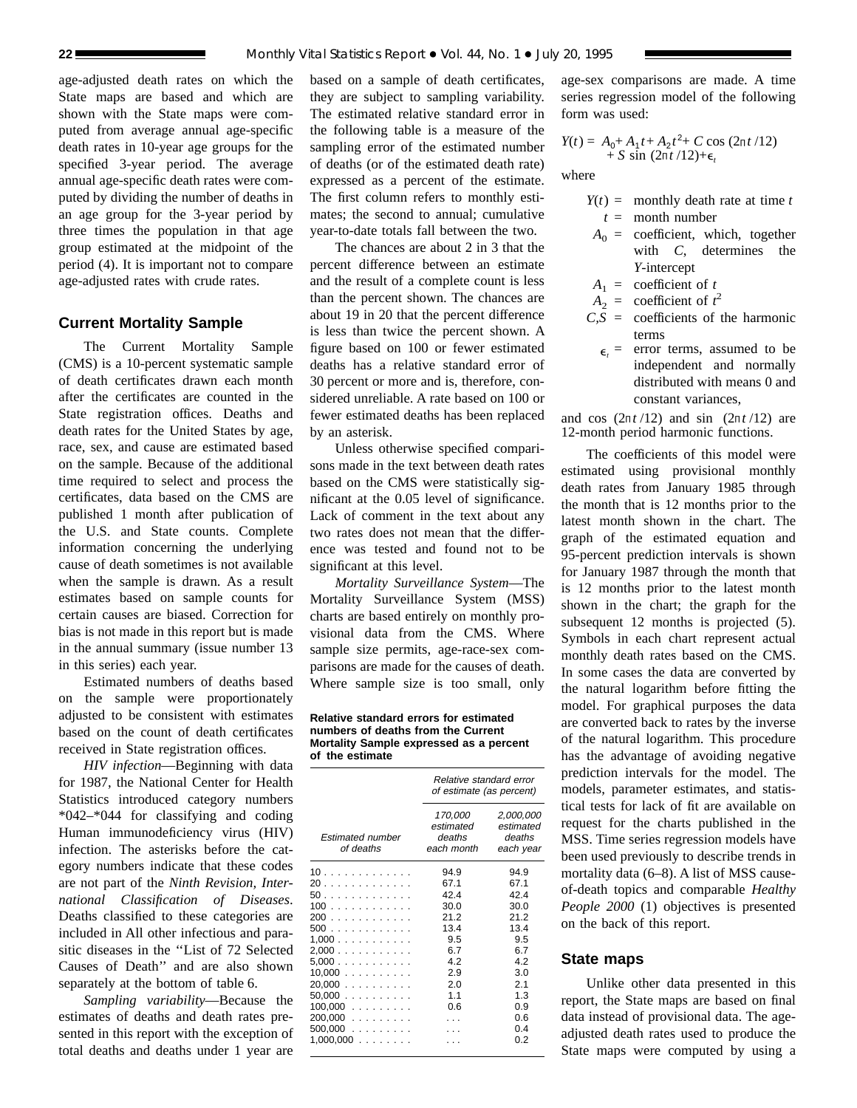age-adjusted death rates on which the State maps are based and which are shown with the State maps were computed from average annual age-specific death rates in 10-year age groups for the specified 3-year period. The average annual age-specific death rates were computed by dividing the number of deaths in an age group for the 3-year period by three times the population in that age group estimated at the midpoint of the period (4). It is important not to compare age-adjusted rates with crude rates.

## **Current Mortality Sample**

The Current Mortality Sample (CMS) is a 10-percent systematic sample of death certificates drawn each month after the certificates are counted in the State registration offices. Deaths and death rates for the United States by age, race, sex, and cause are estimated based on the sample. Because of the additional time required to select and process the certificates, data based on the CMS are published 1 month after publication of the U.S. and State counts. Complete information concerning the underlying cause of death sometimes is not available when the sample is drawn. As a result estimates based on sample counts for certain causes are biased. Correction for bias is not made in this report but is made in the annual summary (issue number 13 in this series) each year.

Estimated numbers of deaths based on the sample were proportionately adjusted to be consistent with estimates based on the count of death certificates received in State registration offices.

*HIV infection*—Beginning with data for 1987, the National Center for Health Statistics introduced category numbers \*042–\*044 for classifying and coding Human immunodeficiency virus (HIV) infection. The asterisks before the category numbers indicate that these codes are not part of the *Ninth Revision, International Classification of Diseases*. Deaths classified to these categories are included in All other infectious and parasitic diseases in the ''List of 72 Selected Causes of Death'' and are also shown separately at the bottom of table 6.

*Sampling variability*—Because the estimates of deaths and death rates presented in this report with the exception of total deaths and deaths under 1 year are

based on a sample of death certificates, they are subject to sampling variability. The estimated relative standard error in the following table is a measure of the sampling error of the estimated number of deaths (or of the estimated death rate) expressed as a percent of the estimate. The first column refers to monthly estimates; the second to annual; cumulative year-to-date totals fall between the two.

The chances are about 2 in 3 that the percent difference between an estimate and the result of a complete count is less than the percent shown. The chances are about 19 in 20 that the percent difference is less than twice the percent shown. A figure based on 100 or fewer estimated deaths has a relative standard error of 30 percent or more and is, therefore, considered unreliable. A rate based on 100 or fewer estimated deaths has been replaced by an asterisk.

Unless otherwise specified comparisons made in the text between death rates based on the CMS were statistically significant at the 0.05 level of significance. Lack of comment in the text about any two rates does not mean that the difference was tested and found not to be significant at this level.

*Mortality Surveillance System*—The Mortality Surveillance System (MSS) charts are based entirely on monthly provisional data from the CMS. Where sample size permits, age-race-sex comparisons are made for the causes of death. Where sample size is too small, only

**Relative standard errors for estimated numbers of deaths from the Current Mortality Sample expressed as a percent of the estimate**

|                                      | Relative standard error<br>of estimate (as percent) |                                               |  |  |
|--------------------------------------|-----------------------------------------------------|-----------------------------------------------|--|--|
| <b>Estimated number</b><br>of deaths | 170,000<br>estimated<br>deaths<br>each month        | 2,000,000<br>estimated<br>deaths<br>each year |  |  |
| 10                                   | 94.9                                                | 94.9                                          |  |  |
| 20                                   | 67.1                                                | 67.1                                          |  |  |
| 50                                   | 42.4                                                | 42.4                                          |  |  |
| 100                                  | 30.0                                                | 30.0                                          |  |  |
| 200                                  | 21.2                                                | 21.2                                          |  |  |
| 500                                  | 13.4                                                | 13.4                                          |  |  |
| $1,000$                              | 9.5                                                 | 9.5                                           |  |  |
| 2,000                                | 6.7                                                 | 67                                            |  |  |
| 5.000                                | 42                                                  | 42                                            |  |  |
| 10,000                               | 29                                                  | 3.0                                           |  |  |
| 20.000                               | 2.0                                                 | 2.1                                           |  |  |
| 50.000                               | 1.1                                                 | 1.3                                           |  |  |
| $100,000$                            | 0.6                                                 | 0.9                                           |  |  |
| $200,000$                            |                                                     | 0.6                                           |  |  |
| $500,000$                            |                                                     | 0.4                                           |  |  |
| $1,000,000$                          |                                                     | 0.2                                           |  |  |
|                                      |                                                     |                                               |  |  |

age-sex comparisons are made. A time series regression model of the following form was used:

$$
Y(t) = A_0 + A_1 t + A_2 t^2 + C \cos (2\pi t / 12) + S \sin (2\pi t / 12) + \epsilon_t
$$

where

- $Y(t) =$  monthly death rate at time *t t* = month number
- $A_0$  = coefficient, which, together with *C*, determines the *Y*-intercept
- $A_1$  = coefficient of *t*
- $A_2$  = coefficient of  $t^2$
- $CS = \text{coefficients of the harmonic}$ terms
	- $\epsilon$  = error terms, assumed to be independent and normally distributed with means 0 and constant variances,

and cos  $(2\pi t/12)$  and sin  $(2\pi t/12)$  are 12-month period harmonic functions.

The coefficients of this model were estimated using provisional monthly death rates from January 1985 through the month that is 12 months prior to the latest month shown in the chart. The graph of the estimated equation and 95-percent prediction intervals is shown for January 1987 through the month that is 12 months prior to the latest month shown in the chart; the graph for the subsequent 12 months is projected  $(5)$ . Symbols in each chart represent actual monthly death rates based on the CMS. In some cases the data are converted by the natural logarithm before fitting the model. For graphical purposes the data are converted back to rates by the inverse of the natural logarithm. This procedure has the advantage of avoiding negative prediction intervals for the model. The models, parameter estimates, and statistical tests for lack of fit are available on request for the charts published in the MSS. Time series regression models have been used previously to describe trends in mortality data (6–8). A list of MSS causeof-death topics and comparable *Healthy People 2000* (1) objectives is presented on the back of this report.

## **State maps**

Unlike other data presented in this report, the State maps are based on final data instead of provisional data. The ageadjusted death rates used to produce the State maps were computed by using a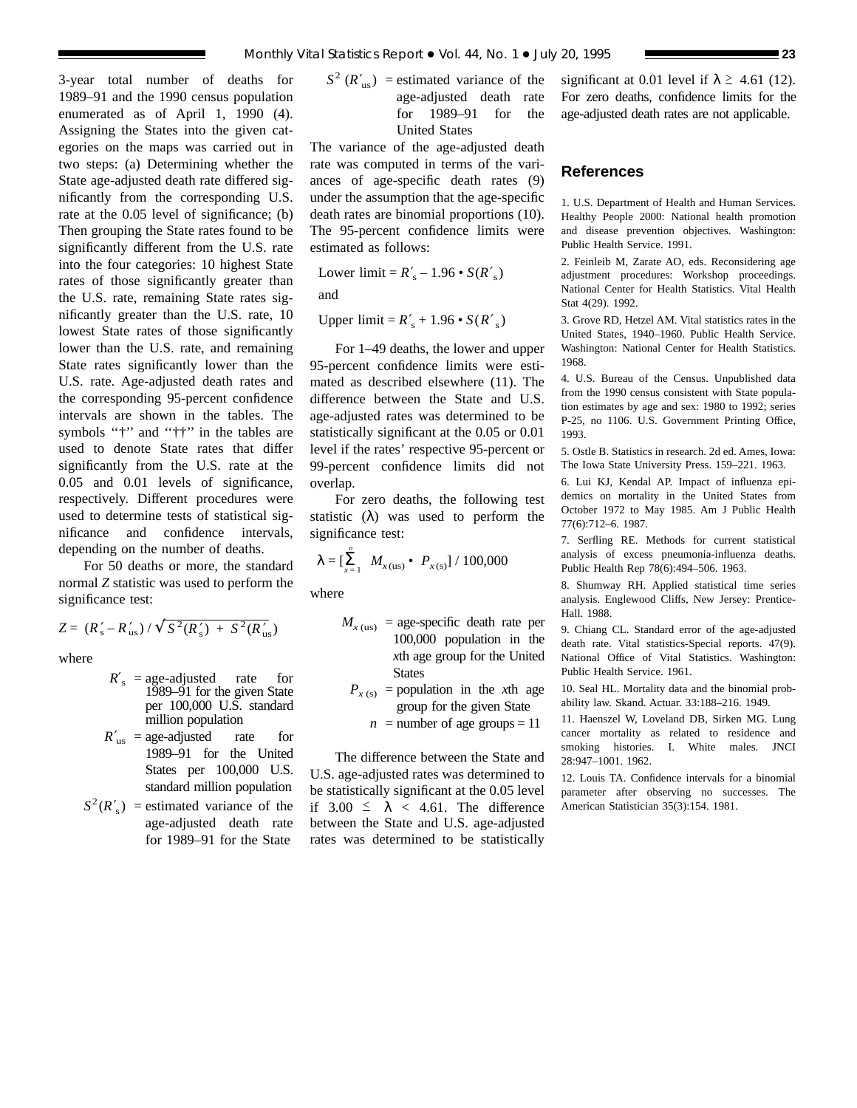3-year total number of deaths for 1989–91 and the 1990 census population enumerated as of April 1, 1990 (4). Assigning the States into the given categories on the maps was carried out in two steps: (a) Determining whether the State age-adjusted death rate differed significantly from the corresponding U.S. rate at the 0.05 level of significance; (b) Then grouping the State rates found to be significantly different from the U.S. rate into the four categories: 10 highest State rates of those significantly greater than the U.S. rate, remaining State rates significantly greater than the U.S. rate, 10 lowest State rates of those significantly lower than the U.S. rate, and remaining State rates significantly lower than the U.S. rate. Age-adjusted death rates and the corresponding 95-percent confidence intervals are shown in the tables. The symbols "†" and "††" in the tables are used to denote State rates that differ significantly from the U.S. rate at the 0.05 and 0.01 levels of significance, respectively. Different procedures were used to determine tests of statistical significance and confidence intervals, depending on the number of deaths.

For 50 deaths or more, the standard normal *Z* statistic was used to perform the significance test:

$$
Z = (R'_{\rm s} - R'_{\rm us}) / \sqrt{S^2 (R'_{\rm s}) + S^2 (R'_{\rm us})}
$$

where

- $R'_s$  = age-adjusted rate for 1989–91 for the given State per 100,000 U.S. standard million population
- $R'_{\text{us}} = \text{age-adjusted}$  rate for 1989–91 for the United States per 100,000 U.S. standard million population
- $S^2(R'_s)$  = estimated variance of the age-adjusted death rate for 1989–91 for the State

$$
S2 (R'us) = estimated variance of the age-adjusted death ratefor 1989–91 for the United States
$$

The variance of the age-adjusted death rate was computed in terms of the variances of age-specific death rates (9) under the assumption that the age-specific death rates are binomial proportions (10). The 95-percent confidence limits were estimated as follows:

Lower limit = 
$$
R'_{s}
$$
 – 1.96 •  $S(R'_{s})$   
and

Upper limit = 
$$
R'_s
$$
 + 1.96 •  $S(R'_s)$ 

For 1–49 deaths, the lower and upper 95-percent confidence limits were estimated as described elsewhere (11). The difference between the State and U.S. age-adjusted rates was determined to be statistically significant at the 0.05 or 0.01 level if the rates' respective 95-percent or 99-percent confidence limits did not overlap.

For zero deaths, the following test statistic  $(\lambda)$  was used to perform the significance test:

$$
\lambda = \left[\sum_{x=1}^{n} M_{x(\text{us})} \bullet P_{x(\text{s})}\right] / 100,000
$$

where

- $M_{x \text{ (us)}}$  = age-specific death rate per 100,000 population in the *x*th age group for the United **States** 
	- $P_{x(s)}$  = population in the *x*th age group for the given State
		- $n =$  number of age groups = 11

The difference between the State and U.S. age-adjusted rates was determined to be statistically significant at the 0.05 level if  $3.00 \leq \lambda < 4.61$ . The difference between the State and U.S. age-adjusted rates was determined to be statistically significant at 0.01 level if  $\lambda \geq 4.61$  (12). For zero deaths, confidence limits for the age-adjusted death rates are not applicable.

## **References**

1. U.S. Department of Health and Human Services. Healthy People 2000: National health promotion and disease prevention objectives. Washington: Public Health Service. 1991.

2. Feinleib M, Zarate AO, eds. Reconsidering age adjustment procedures: Workshop proceedings. National Center for Health Statistics. Vital Health Stat 4(29). 1992.

3. Grove RD, Hetzel AM. Vital statistics rates in the United States, 1940–1960. Public Health Service. Washington: National Center for Health Statistics. 1968.

4. U.S. Bureau of the Census. Unpublished data from the 1990 census consistent with State population estimates by age and sex: 1980 to 1992; series P-25, no 1106. U.S. Government Printing Office, 1993.

5. Ostle B. Statistics in research. 2d ed. Ames, Iowa: The Iowa State University Press. 159–221. 1963.

6. Lui KJ, Kendal AP. Impact of influenza epidemics on mortality in the United States from October 1972 to May 1985. Am J Public Health 77(6):712–6. 1987.

7. Serfling RE. Methods for current statistical analysis of excess pneumonia-influenza deaths. Public Health Rep 78(6):494–506. 1963.

8. Shumway RH. Applied statistical time series analysis. Englewood Cliffs, New Jersey: Prentice-Hall. 1988.

9. Chiang CL. Standard error of the age-adjusted death rate. Vital statistics-Special reports. 47(9). National Office of Vital Statistics. Washington: Public Health Service. 1961.

10. Seal HL. Mortality data and the binomial probability law. Skand. Actuar. 33:188–216. 1949.

11. Haenszel W, Loveland DB, Sirken MG. Lung cancer mortality as related to residence and smoking histories. I. White males. JNCI 28:947–1001. 1962.

12. Louis TA. Confidence intervals for a binomial parameter after observing no successes. The American Statistician 35(3):154. 1981.